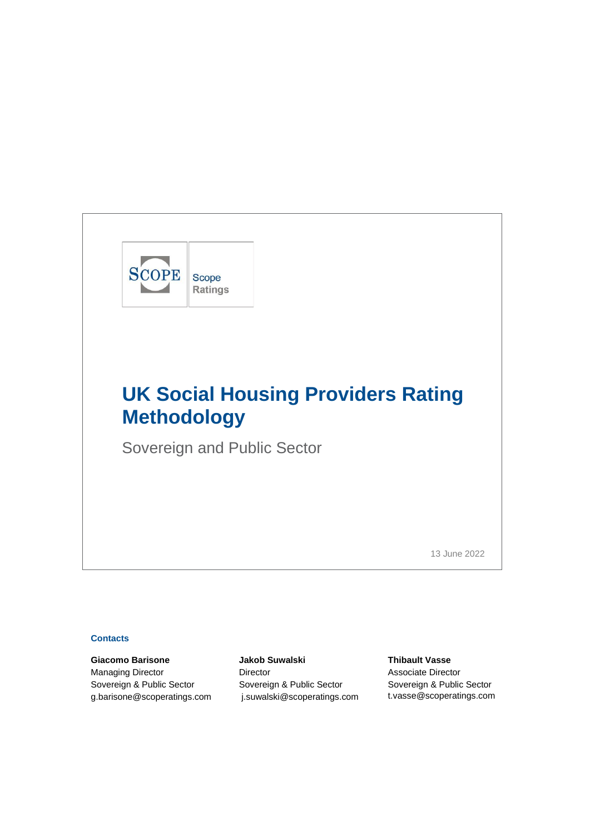

Sovereign and Public Sector

13 June 2022

## **Contacts**

**Giacomo Barisone Jakob Suwalski Thibault Vasse** Managing Director **Director** Director **Containers** Associate Director Sovereign & Public Sector Sovereign & Public Sector Sovereign & Public Sector [g.barisone@scoperatings.com](mailto:g.barisone@scoperatings.com) [j.suwalski@scoperatings.com](mailto:%20j.suwalski@scoperatings.com) [t.vasse@scoperatings.com](mailto:t.vasse@scoperatings.com)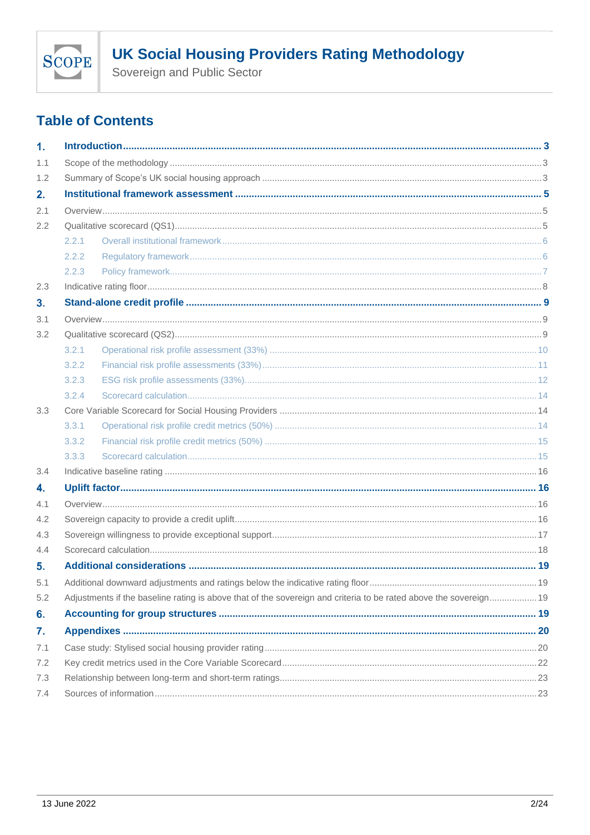

Sovereign and Public Sector

# **Table of Contents**

| 1.  |       |                                                                                                                   |  |
|-----|-------|-------------------------------------------------------------------------------------------------------------------|--|
| 1.1 |       |                                                                                                                   |  |
| 1.2 |       |                                                                                                                   |  |
| 2.  |       |                                                                                                                   |  |
| 2.1 |       |                                                                                                                   |  |
| 2.2 |       |                                                                                                                   |  |
|     | 2.2.1 |                                                                                                                   |  |
|     | 2.2.2 |                                                                                                                   |  |
|     | 2.2.3 |                                                                                                                   |  |
| 2.3 |       |                                                                                                                   |  |
| 3.  |       |                                                                                                                   |  |
| 3.1 |       |                                                                                                                   |  |
| 3.2 |       |                                                                                                                   |  |
|     | 3.2.1 |                                                                                                                   |  |
|     | 3.2.2 |                                                                                                                   |  |
|     | 3.2.3 |                                                                                                                   |  |
|     | 3.2.4 |                                                                                                                   |  |
| 3.3 |       |                                                                                                                   |  |
|     | 3.3.1 |                                                                                                                   |  |
|     | 3.3.2 |                                                                                                                   |  |
|     | 3.3.3 |                                                                                                                   |  |
| 3.4 |       |                                                                                                                   |  |
| 4.  |       |                                                                                                                   |  |
| 4.1 |       |                                                                                                                   |  |
| 4.2 |       |                                                                                                                   |  |
| 4.3 |       |                                                                                                                   |  |
| 4.4 |       |                                                                                                                   |  |
| 5.  |       |                                                                                                                   |  |
| 5.1 |       |                                                                                                                   |  |
| 5.2 |       | Adjustments if the baseline rating is above that of the sovereign and criteria to be rated above the sovereign 19 |  |
| 6.  |       |                                                                                                                   |  |
| 7.  |       |                                                                                                                   |  |
| 7.1 |       |                                                                                                                   |  |
| 7.2 |       |                                                                                                                   |  |
| 7.3 |       |                                                                                                                   |  |
| 7.4 |       |                                                                                                                   |  |
|     |       |                                                                                                                   |  |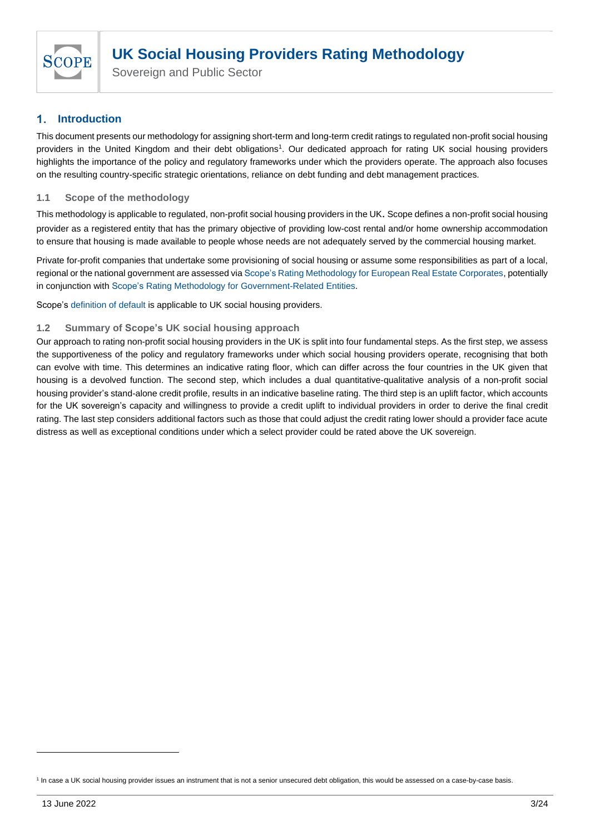

#### <span id="page-2-0"></span>**Introduction**  $\blacksquare$

This document presents our methodology for assigning short-term and long-term credit ratings to regulated non-profit social housing providers in the United Kingdom and their debt obligations<sup>1</sup>. Our dedicated approach for rating UK social housing providers highlights the importance of the policy and regulatory frameworks under which the providers operate. The approach also focuses on the resulting country-specific strategic orientations, reliance on debt funding and debt management practices.

# <span id="page-2-1"></span>**1.1 Scope of the methodology**

This methodology is applicable to regulated, non-profit social housing providers in the UK. Scope defines a non-profit social housing provider as a registered entity that has the primary objective of providing low-cost rental and/or home ownership accommodation to ensure that housing is made available to people whose needs are not adequately served by the commercial housing market.

Private for-profit companies that undertake some provisioning of social housing or assume some responsibilities as part of a local, regional or the national government are assessed vi[a Scope's Rating Methodology for European Real Estate Corporates,](https://www.scoperatings.com/ScopeRatingsApi/api/downloadmethodology?id=b662d372-a94d-46ca-9552-93c2fd152ea4) potentially in conjunction with [Scope's Rating Methodology for Government-Related Entities.](https://www.scoperatings.com/ScopeRatingsApi/api/downloadmethodology?id=43215141-88f7-4271-8523-66b37468e6a6)

Scope's [definition of default](https://scoperatings.com/classic/resources/download/Scope_Ratings_Rating_Definitions_2020.pdf) is applicable to UK social housing providers.

# <span id="page-2-2"></span>**1.2 Summary of Scope's UK social housing approach**

Our approach to rating non-profit social housing providers in the UK is split into four fundamental steps. As the first step, we assess the supportiveness of the policy and regulatory frameworks under which social housing providers operate, recognising that both can evolve with time. This determines an indicative rating floor, which can differ across the four countries in the UK given that housing is a devolved function. The second step, which includes a dual quantitative-qualitative analysis of a non-profit social housing provider's stand-alone credit profile, results in an indicative baseline rating. The third step is an uplift factor, which accounts for the UK sovereign's capacity and willingness to provide a credit uplift to individual providers in order to derive the final credit rating. The last step considers additional factors such as those that could adjust the credit rating lower should a provider face acute distress as well as exceptional conditions under which a select provider could be rated above the UK sovereign.

<sup>&</sup>lt;sup>1</sup> In case a UK social housing provider issues an instrument that is not a senior unsecured debt obligation, this would be assessed on a case-by-case basis.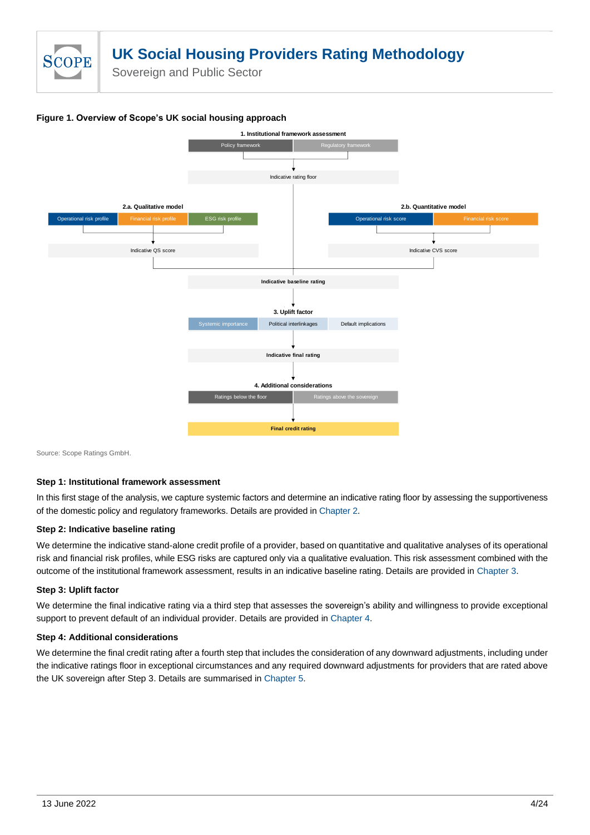

**Figure 1. Overview of Scope's UK social housing approach** 



Source: Scope Ratings GmbH.

## **Step 1: Institutional framework assessment**

In this first stage of the analysis, we capture systemic factors and determine an indicative rating floor by assessing the supportiveness of the domestic policy and regulatory frameworks. Details are provided in Chapter 2.

#### **Step 2: Indicative baseline rating**

We determine the indicative stand-alone credit profile of a provider, based on quantitative and qualitative analyses of its operational risk and financial risk profiles, while ESG risks are captured only via a qualitative evaluation. This risk assessment combined with the outcome of the institutional framework assessment, results in an indicative baseline rating. Details are provided in [Chapter 3.](#page-8-0)

#### **Step 3: Uplift factor**

We determine the final indicative rating via a third step that assesses the sovereign's ability and willingness to provide exceptional support to prevent default of an individual provider. Details are provided i[n Chapter 4.](#page-15-1)

#### **Step 4: Additional considerations**

We determine the final credit rating after a fourth step that includes the consideration of any downward adjustments, including under the indicative ratings floor in exceptional circumstances and any required downward adjustments for providers that are rated above the UK sovereign after Step 3. Details are summarised i[n Chapter 5.](#page-18-0)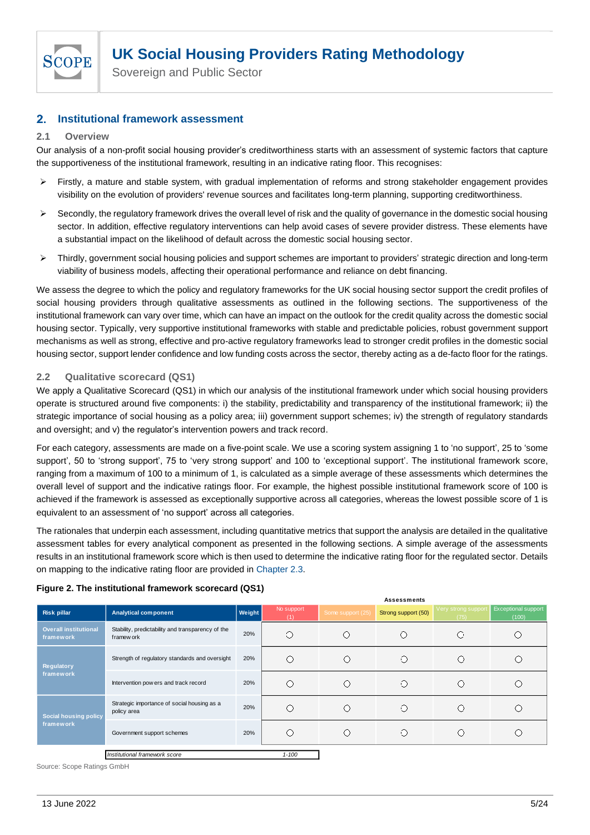

#### <span id="page-4-0"></span> $2.$ **Institutional framework assessment**

## <span id="page-4-1"></span>**2.1 Overview**

Our analysis of a non-profit social housing provider's creditworthiness starts with an assessment of systemic factors that capture the supportiveness of the institutional framework, resulting in an indicative rating floor. This recognises:

- ➢ Firstly, a mature and stable system, with gradual implementation of reforms and strong stakeholder engagement provides visibility on the evolution of providers' revenue sources and facilitates long-term planning, supporting creditworthiness.
- $\triangleright$  Secondly, the regulatory framework drives the overall level of risk and the quality of governance in the domestic social housing sector. In addition, effective regulatory interventions can help avoid cases of severe provider distress. These elements have a substantial impact on the likelihood of default across the domestic social housing sector.
- ➢ Thirdly, government social housing policies and support schemes are important to providers' strategic direction and long-term viability of business models, affecting their operational performance and reliance on debt financing.

We assess the degree to which the policy and regulatory frameworks for the UK social housing sector support the credit profiles of social housing providers through qualitative assessments as outlined in the following sections. The supportiveness of the institutional framework can vary over time, which can have an impact on the outlook for the credit quality across the domestic social housing sector. Typically, very supportive institutional frameworks with stable and predictable policies, robust government support mechanisms as well as strong, effective and pro-active regulatory frameworks lead to stronger credit profiles in the domestic social housing sector, support lender confidence and low funding costs across the sector, thereby acting as a de-facto floor for the ratings.

# <span id="page-4-2"></span>**2.2 Qualitative scorecard (QS1)**

We apply a Qualitative Scorecard (QS1) in which our analysis of the institutional framework under which social housing providers operate is structured around five components: i) the stability, predictability and transparency of the institutional framework; ii) the strategic importance of social housing as a policy area; iii) government support schemes; iv) the strength of regulatory standards and oversight; and v) the regulator's intervention powers and track record.

For each category, assessments are made on a five-point scale. We use a scoring system assigning 1 to 'no support', 25 to 'some support', 50 to 'strong support', 75 to 'very strong support' and 100 to 'exceptional support'. The institutional framework score, ranging from a maximum of 100 to a minimum of 1, is calculated as a simple average of these assessments which determines the overall level of support and the indicative ratings floor. For example, the highest possible institutional framework score of 100 is achieved if the framework is assessed as exceptionally supportive across all categories, whereas the lowest possible score of 1 is equivalent to an assessment of 'no support' across all categories.

The rationales that underpin each assessment, including quantitative metrics that support the analysis are detailed in the qualitative assessment tables for every analytical component as presented in the following sections. A simple average of the assessments results in an institutional framework score which is then used to determine the indicative rating floor for the regulated sector. Details on mapping to the indicative rating floor are provided i[n Chapter 2.3](#page-14-1).

| Figure 2. The institutional framework scorecard (QS1) |  |
|-------------------------------------------------------|--|
|-------------------------------------------------------|--|

|                                           |                                                                 |        |                   |                   | <b>Assessments</b>  |                             |                                     |
|-------------------------------------------|-----------------------------------------------------------------|--------|-------------------|-------------------|---------------------|-----------------------------|-------------------------------------|
| <b>Risk pillar</b>                        | <b>Analytical component</b>                                     | Weight | No support<br>(1) | Some support (25) | Strong support (50) | Very strong support<br>(75) | <b>Exceptional support</b><br>(100) |
| <b>Overall institutional</b><br>framework | Stability, predictability and transparency of the<br>framew ork | 20%    | Ο                 |                   | O                   | ⊖                           |                                     |
| Regulatory                                | Strength of regulatory standards and oversight                  |        | ∩                 |                   | O                   | ( )                         |                                     |
| framework                                 | Intervention pow ers and track record                           | 20%    | ∩                 |                   | Ο                   | 61                          |                                     |
| <b>Social housing policy</b>              | Strategic importance of social housing as a<br>policy area      | 20%    | O                 | ( )               | O                   | O                           |                                     |
| framework                                 | Government support schemes                                      | 20%    | ∩                 |                   | O                   |                             |                                     |
|                                           | Institutional framework score                                   |        | $1 - 100$         |                   |                     |                             |                                     |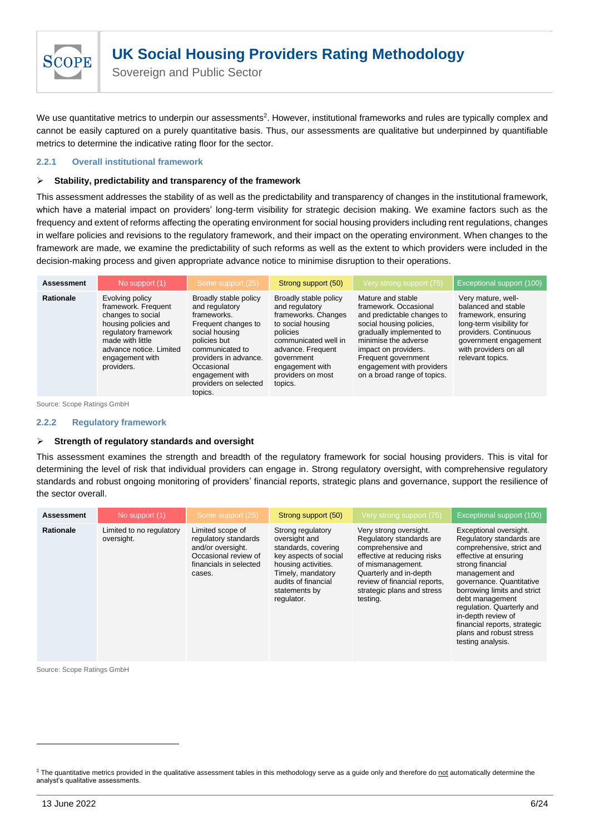

We use quantitative metrics to underpin our assessments<sup>2</sup>. However, institutional frameworks and rules are typically complex and cannot be easily captured on a purely quantitative basis. Thus, our assessments are qualitative but underpinned by quantifiable metrics to determine the indicative rating floor for the sector.

## <span id="page-5-0"></span>**2.2.1 Overall institutional framework**

#### ➢ **Stability, predictability and transparency of the framework**

This assessment addresses the stability of as well as the predictability and transparency of changes in the institutional framework, which have a material impact on providers' long-term visibility for strategic decision making. We examine factors such as the frequency and extent of reforms affecting the operating environment for social housing providers including rent regulations, changes in welfare policies and revisions to the regulatory framework, and their impact on the operating environment. When changes to the framework are made, we examine the predictability of such reforms as well as the extent to which providers were included in the decision-making process and given appropriate advance notice to minimise disruption to their operations.

| <b>Assessment</b> | No support (1)                                                                                                                                                                              | Some support (25)                                                                                                                                                                                                                | Strong support (50)                                                                                                                                                                                           | Very strong support (75)                                                                                                                                                                                                                                            | <b>Exceptional support (100)</b>                                                                                                                                                            |
|-------------------|---------------------------------------------------------------------------------------------------------------------------------------------------------------------------------------------|----------------------------------------------------------------------------------------------------------------------------------------------------------------------------------------------------------------------------------|---------------------------------------------------------------------------------------------------------------------------------------------------------------------------------------------------------------|---------------------------------------------------------------------------------------------------------------------------------------------------------------------------------------------------------------------------------------------------------------------|---------------------------------------------------------------------------------------------------------------------------------------------------------------------------------------------|
| <b>Rationale</b>  | Evolving policy<br>framework. Frequent<br>changes to social<br>housing policies and<br>regulatory framework<br>made with little<br>advance notice. Limited<br>engagement with<br>providers. | Broadly stable policy<br>and regulatory<br>frameworks.<br>Frequent changes to<br>social housing<br>policies but<br>communicated to<br>providers in advance.<br>Occasional<br>engagement with<br>providers on selected<br>topics. | Broadly stable policy<br>and regulatory<br>frameworks. Changes<br>to social housing<br>policies<br>communicated well in<br>advance. Frequent<br>government<br>engagement with<br>providers on most<br>topics. | Mature and stable<br>framework, Occasional<br>and predictable changes to<br>social housing policies.<br>gradually implemented to<br>minimise the adverse<br>impact on providers.<br>Frequent government<br>engagement with providers<br>on a broad range of topics. | Very mature, well-<br>balanced and stable<br>framework, ensuring<br>long-term visibility for<br>providers. Continuous<br>government engagement<br>with providers on all<br>relevant topics. |

Source: Scope Ratings GmbH

#### <span id="page-5-1"></span>**2.2.2 Regulatory framework**

#### ➢ **Strength of regulatory standards and oversight**

This assessment examines the strength and breadth of the regulatory framework for social housing providers. This is vital for determining the level of risk that individual providers can engage in. Strong regulatory oversight, with comprehensive regulatory standards and robust ongoing monitoring of providers' financial reports, strategic plans and governance, support the resilience of the sector overall.

| <b>Assessment</b> | No support (1)                         | Some support (25)                                                                                                         | Strong support (50)                                                                                                                                                                  | Very strong support (75)                                                                                                                                                                                                        | Exceptional support (100)                                                                                                                                                                                                                                                                                                                                       |
|-------------------|----------------------------------------|---------------------------------------------------------------------------------------------------------------------------|--------------------------------------------------------------------------------------------------------------------------------------------------------------------------------------|---------------------------------------------------------------------------------------------------------------------------------------------------------------------------------------------------------------------------------|-----------------------------------------------------------------------------------------------------------------------------------------------------------------------------------------------------------------------------------------------------------------------------------------------------------------------------------------------------------------|
| <b>Rationale</b>  | Limited to no regulatory<br>oversight. | Limited scope of<br>regulatory standards<br>and/or oversight.<br>Occasional review of<br>financials in selected<br>cases. | Strong regulatory<br>oversight and<br>standards, covering<br>key aspects of social<br>housing activities.<br>Timely, mandatory<br>audits of financial<br>statements by<br>regulator. | Very strong oversight.<br>Regulatory standards are<br>comprehensive and<br>effective at reducing risks<br>of mismanagement.<br>Quarterly and in-depth<br>review of financial reports.<br>strategic plans and stress<br>testing. | Exceptional oversight.<br>Regulatory standards are<br>comprehensive, strict and<br>effective at ensuring<br>strong financial<br>management and<br>governance, Quantitative<br>borrowing limits and strict<br>debt management<br>regulation. Quarterly and<br>in-depth review of<br>financial reports, strategic<br>plans and robust stress<br>testing analysis. |

<sup>&</sup>lt;sup>2</sup> The quantitative metrics provided in the qualitative assessment tables in this methodology serve as a guide only and therefore do not automatically determine the analyst's qualitative assessments.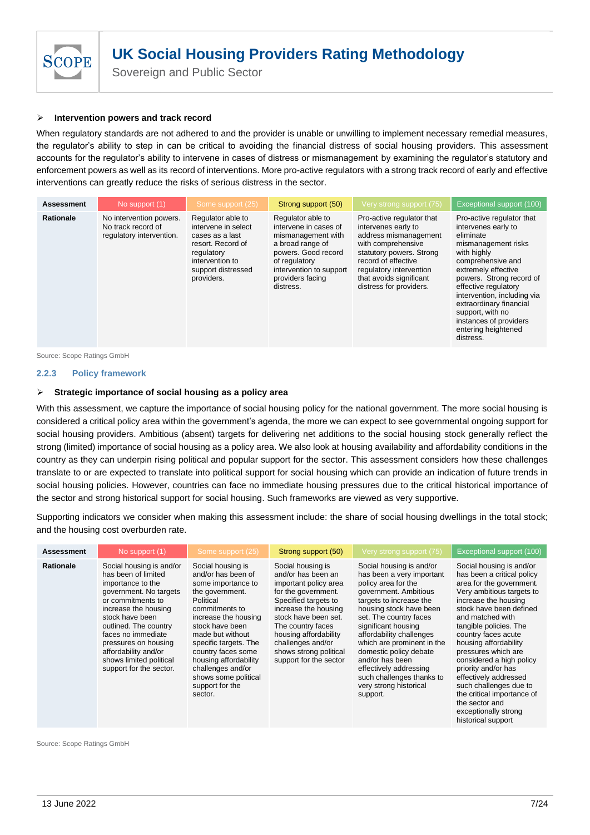

Sovereign and Public Sector

#### ➢ **Intervention powers and track record**

When regulatory standards are not adhered to and the provider is unable or unwilling to implement necessary remedial measures, the regulator's ability to step in can be critical to avoiding the financial distress of social housing providers. This assessment accounts for the regulator's ability to intervene in cases of distress or mismanagement by examining the regulator's statutory and enforcement powers as well as its record of interventions. More pro-active regulators with a strong track record of early and effective interventions can greatly reduce the risks of serious distress in the sector.

| <b>Assessment</b> | No support (1)                                                            | Some support (25)                                                                                                                                     | Strong support (50)                                                                                                                                                                      | Very strong support (75)                                                                                                                                                                                                            | Exceptional support (100)                                                                                                                                                                                                                                                                                                                       |
|-------------------|---------------------------------------------------------------------------|-------------------------------------------------------------------------------------------------------------------------------------------------------|------------------------------------------------------------------------------------------------------------------------------------------------------------------------------------------|-------------------------------------------------------------------------------------------------------------------------------------------------------------------------------------------------------------------------------------|-------------------------------------------------------------------------------------------------------------------------------------------------------------------------------------------------------------------------------------------------------------------------------------------------------------------------------------------------|
| <b>Rationale</b>  | No intervention powers.<br>No track record of<br>regulatory intervention. | Regulator able to<br>intervene in select<br>cases as a last<br>resort. Record of<br>regulatory<br>intervention to<br>support distressed<br>providers. | Regulator able to<br>intervene in cases of<br>mismanagement with<br>a broad range of<br>powers. Good record<br>of regulatory<br>intervention to support<br>providers facing<br>distress. | Pro-active regulator that<br>intervenes early to<br>address mismanagement<br>with comprehensive<br>statutory powers. Strong<br>record of effective<br>regulatory intervention<br>that avoids significant<br>distress for providers. | Pro-active regulator that<br>intervenes early to<br>eliminate<br>mismanagement risks<br>with highly<br>comprehensive and<br>extremely effective<br>powers. Strong record of<br>effective regulatory<br>intervention, including via<br>extraordinary financial<br>support, with no<br>instances of providers<br>entering heightened<br>distress. |

Source: Scope Ratings GmbH

#### <span id="page-6-0"></span>**2.2.3 Policy framework**

#### ➢ **Strategic importance of social housing as a policy area**

With this assessment, we capture the importance of social housing policy for the national government. The more social housing is considered a critical policy area within the government's agenda, the more we can expect to see governmental ongoing support for social housing providers. Ambitious (absent) targets for delivering net additions to the social housing stock generally reflect the strong (limited) importance of social housing as a policy area. We also look at housing availability and affordability conditions in the country as they can underpin rising political and popular support for the sector. This assessment considers how these challenges translate to or are expected to translate into political support for social housing which can provide an indication of future trends in social housing policies. However, countries can face no immediate housing pressures due to the critical historical importance of the sector and strong historical support for social housing. Such frameworks are viewed as very supportive.

Supporting indicators we consider when making this assessment include: the share of social housing dwellings in the total stock; and the housing cost overburden rate.

| <b>Assessment</b> | No support (1)                                                                                                                                                                                                                                                                                                      | Some support (25)                                                                                                                                                                                                                                                                                                                 | Strong support (50)                                                                                                                                                                                                                                                                    | Very strong support (75)                                                                                                                                                                                                                                                                                                                                                                                         | Exceptional support (100)                                                                                                                                                                                                                                                                                                                                                                                                                                                                   |
|-------------------|---------------------------------------------------------------------------------------------------------------------------------------------------------------------------------------------------------------------------------------------------------------------------------------------------------------------|-----------------------------------------------------------------------------------------------------------------------------------------------------------------------------------------------------------------------------------------------------------------------------------------------------------------------------------|----------------------------------------------------------------------------------------------------------------------------------------------------------------------------------------------------------------------------------------------------------------------------------------|------------------------------------------------------------------------------------------------------------------------------------------------------------------------------------------------------------------------------------------------------------------------------------------------------------------------------------------------------------------------------------------------------------------|---------------------------------------------------------------------------------------------------------------------------------------------------------------------------------------------------------------------------------------------------------------------------------------------------------------------------------------------------------------------------------------------------------------------------------------------------------------------------------------------|
| <b>Rationale</b>  | Social housing is and/or<br>has been of limited<br>importance to the<br>government. No targets<br>or commitments to<br>increase the housing<br>stock have been<br>outlined. The country<br>faces no immediate<br>pressures on housing<br>affordability and/or<br>shows limited political<br>support for the sector. | Social housing is<br>and/or has been of<br>some importance to<br>the government.<br>Political<br>commitments to<br>increase the housing<br>stock have been<br>made but without<br>specific targets. The<br>country faces some<br>housing affordability<br>challenges and/or<br>shows some political<br>support for the<br>sector. | Social housing is<br>and/or has been an<br>important policy area<br>for the government.<br>Specified targets to<br>increase the housing<br>stock have been set.<br>The country faces<br>housing affordability<br>challenges and/or<br>shows strong political<br>support for the sector | Social housing is and/or<br>has been a very important<br>policy area for the<br>government. Ambitious<br>targets to increase the<br>housing stock have been<br>set. The country faces<br>significant housing<br>affordability challenges<br>which are prominent in the<br>domestic policy debate<br>and/or has been<br>effectively addressing<br>such challenges thanks to<br>very strong historical<br>support. | Social housing is and/or<br>has been a critical policy<br>area for the government.<br>Very ambitious targets to<br>increase the housing<br>stock have been defined<br>and matched with<br>tangible policies. The<br>country faces acute<br>housing affordability<br>pressures which are<br>considered a high policy<br>priority and/or has<br>effectively addressed<br>such challenges due to<br>the critical importance of<br>the sector and<br>exceptionally strong<br>historical support |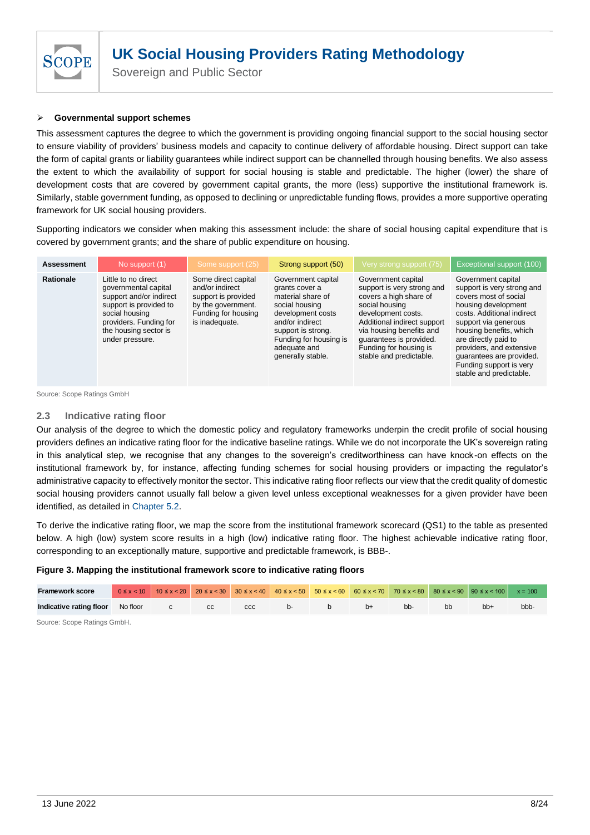

## ➢ **Governmental support schemes**

This assessment captures the degree to which the government is providing ongoing financial support to the social housing sector to ensure viability of providers' business models and capacity to continue delivery of affordable housing. Direct support can take the form of capital grants or liability guarantees while indirect support can be channelled through housing benefits. We also assess the extent to which the availability of support for social housing is stable and predictable. The higher (lower) the share of development costs that are covered by government capital grants, the more (less) supportive the institutional framework is. Similarly, stable government funding, as opposed to declining or unpredictable funding flows, provides a more supportive operating framework for UK social housing providers.

Supporting indicators we consider when making this assessment include: the share of social housing capital expenditure that is covered by government grants; and the share of public expenditure on housing.

| <b>Assessment</b> | No support (1)                                                                                                                                                                           | Some support (25)                                                                                                            | Strong support (50)                                                                                                                                                                                      | Very strong support (75)                                                                                                                                                                                                                                      | Exceptional support (100)                                                                                                                                                                                                                                                                                               |
|-------------------|------------------------------------------------------------------------------------------------------------------------------------------------------------------------------------------|------------------------------------------------------------------------------------------------------------------------------|----------------------------------------------------------------------------------------------------------------------------------------------------------------------------------------------------------|---------------------------------------------------------------------------------------------------------------------------------------------------------------------------------------------------------------------------------------------------------------|-------------------------------------------------------------------------------------------------------------------------------------------------------------------------------------------------------------------------------------------------------------------------------------------------------------------------|
| Rationale         | Little to no direct<br>governmental capital<br>support and/or indirect<br>support is provided to<br>social housing<br>providers. Funding for<br>the housing sector is<br>under pressure. | Some direct capital<br>and/or indirect<br>support is provided<br>by the government.<br>Funding for housing<br>is inadequate. | Government capital<br>grants cover a<br>material share of<br>social housing<br>development costs<br>and/or indirect<br>support is strong.<br>Funding for housing is<br>adequate and<br>generally stable. | Government capital<br>support is very strong and<br>covers a high share of<br>social housing<br>development costs.<br>Additional indirect support<br>via housing benefits and<br>guarantees is provided.<br>Funding for housing is<br>stable and predictable. | Government capital<br>support is very strong and<br>covers most of social<br>housing development<br>costs. Additional indirect<br>support via generous<br>housing benefits, which<br>are directly paid to<br>providers, and extensive<br>quarantees are provided.<br>Funding support is very<br>stable and predictable. |

Source: Scope Ratings GmbH

## <span id="page-7-0"></span>**2.3 Indicative rating floor**

Our analysis of the degree to which the domestic policy and regulatory frameworks underpin the credit profile of social housing providers defines an indicative rating floor for the indicative baseline ratings. While we do not incorporate the UK's sovereign rating in this analytical step, we recognise that any changes to the sovereign's creditworthiness can have knock-on effects on the institutional framework by, for instance, affecting funding schemes for social housing providers or impacting the regulator's administrative capacity to effectively monitor the sector. This indicative rating floor reflects our view that the credit quality of domestic social housing providers cannot usually fall below a given level unless exceptional weaknesses for a given provider have been identified, as detailed in [Chapter 5.2.](#page-18-4)

To derive the indicative rating floor, we map the score from the institutional framework scorecard (QS1) to the table as presented below. A high (low) system score results in a high (low) indicative rating floor. The highest achievable indicative rating floor, corresponding to an exceptionally mature, supportive and predictable framework, is BBB-.

#### **Figure 3. Mapping the institutional framework score to indicative rating floors**

| <b>Framework score</b>                        |  |  |          |                |      |     |    | $0 \le x < 10$ $10 \le x < 20$ $20 \le x < 30$ $30 \le x < 40$ $40 \le x < 50$ $50 \le x < 60$ $60 \le x < 70$ $70 \le x < 80$ $80 \le x < 90$ $90 \le x < 100$ $x = 100$ |      |
|-----------------------------------------------|--|--|----------|----------------|------|-----|----|---------------------------------------------------------------------------------------------------------------------------------------------------------------------------|------|
| <b>Indicative rating floor</b> No floor c c c |  |  | $ccc$ b- | $\blacksquare$ | $b+$ | bb- | bb | $bb+$                                                                                                                                                                     | bbb- |
| ______<br>__ . _ _                            |  |  |          |                |      |     |    |                                                                                                                                                                           |      |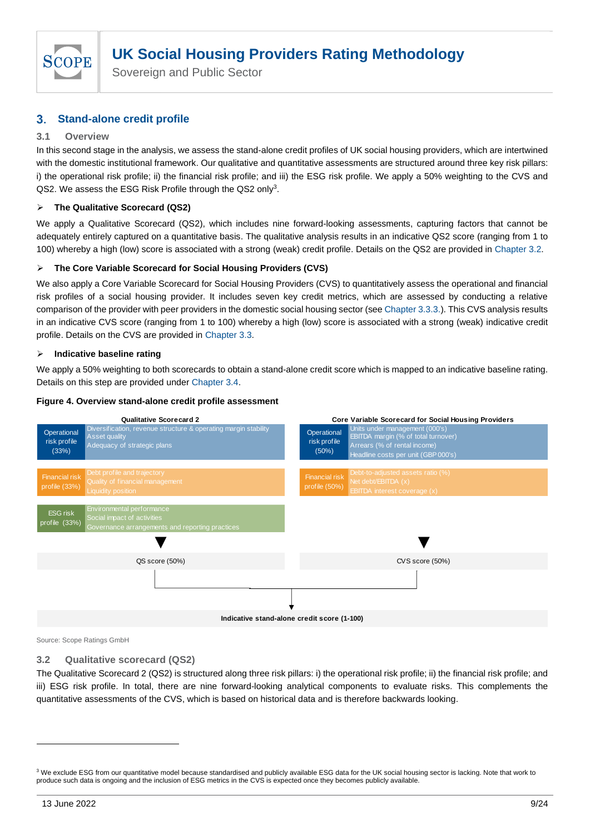

Sovereign and Public Sector

#### <span id="page-8-0"></span> $3<sub>1</sub>$ **Stand-alone credit profile**

# <span id="page-8-1"></span>**3.1 Overview**

In this second stage in the analysis, we assess the stand-alone credit profiles of UK social housing providers, which are intertwined with the domestic institutional framework. Our qualitative and quantitative assessments are structured around three key risk pillars: i) the operational risk profile; ii) the financial risk profile; and iii) the ESG risk profile. We apply a 50% weighting to the CVS and QS2. We assess the ESG Risk Profile through the QS2 only<sup>3</sup>.

# ➢ **The Qualitative Scorecard (QS2)**

We apply a Qualitative Scorecard (QS2), which includes nine forward-looking assessments, capturing factors that cannot be adequately entirely captured on a quantitative basis. The qualitative analysis results in an indicative QS2 score (ranging from 1 to 100) whereby a high (low) score is associated with a strong (weak) credit profile. Details on the QS2 are provided in [Chapter 3.2.](#page-8-2)

# ➢ **The Core Variable Scorecard for Social Housing Providers (CVS)**

We also apply a Core Variable Scorecard for Social Housing Providers (CVS) to quantitatively assess the operational and financial risk profiles of a social housing provider. It includes seven key credit metrics, which are assessed by conducting a relative comparison of the provider with peer providers in the domestic social housing sector (se[e Chapter 3.3.3.\)](#page-14-1). This CVS analysis results in an indicative CVS score (ranging from 1 to 100) whereby a high (low) score is associated with a strong (weak) indicative credit profile. Details on the CVS are provided in [Chapter 3.3.](#page-13-1)

## ➢ **Indicative baseline rating**

We apply a 50% weighting to both scorecards to obtain a stand-alone credit score which is mapped to an indicative baseline rating. Details on this step are provided under Chapter 3.4.

#### **Figure 4. Overview stand-alone credit profile assessment**



Source: Scope Ratings GmbH

# <span id="page-8-2"></span>**3.2 Qualitative scorecard (QS2)**

The Qualitative Scorecard 2 (QS2) is structured along three risk pillars: i) the operational risk profile; ii) the financial risk profile; and iii) ESG risk profile. In total, there are nine forward-looking analytical components to evaluate risks. This complements the quantitative assessments of the CVS, which is based on historical data and is therefore backwards looking.

<sup>&</sup>lt;sup>3</sup> We exclude ESG from our quantitative model because standardised and publicly available ESG data for the UK social housing sector is lacking. Note that work to produce such data is ongoing and the inclusion of ESG metrics in the CVS is expected once they becomes publicly available.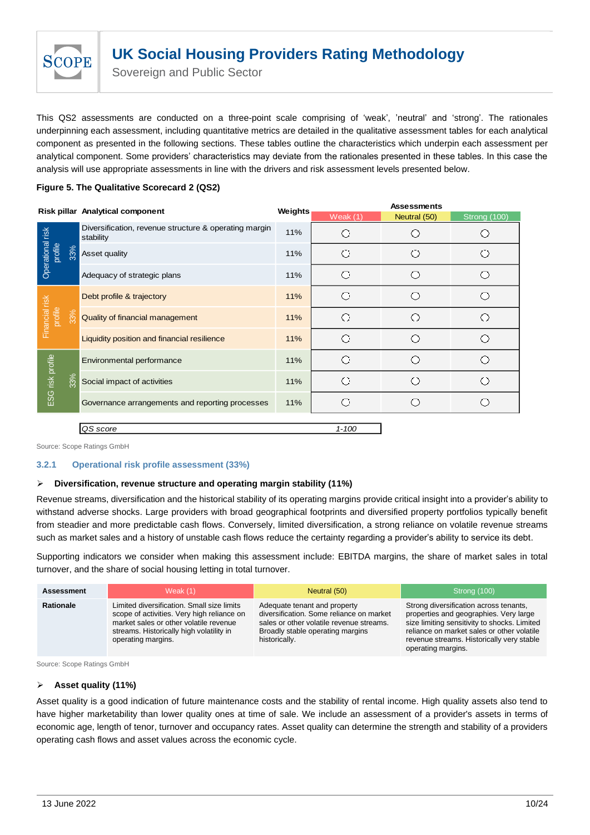

Sovereign and Public Sector

This QS2 assessments are conducted on a three-point scale comprising of 'weak', 'neutral' and 'strong'. The rationales underpinning each assessment, including quantitative metrics are detailed in the qualitative assessment tables for each analytical component as presented in the following sections. These tables outline the characteristics which underpin each assessment per analytical component. Some providers' characteristics may deviate from the rationales presented in these tables. In this case the analysis will use appropriate assessments in line with the drivers and risk assessment levels presented below.

# **Figure 5. The Qualitative Scorecard 2 (QS2)**

|                             |     | Risk pillar Analytical component                                   |         | <b>Assessments</b> |              |              |  |
|-----------------------------|-----|--------------------------------------------------------------------|---------|--------------------|--------------|--------------|--|
|                             |     |                                                                    | Weights | Weak $(1)$         | Neutral (50) | Strong (100) |  |
|                             |     | Diversification, revenue structure & operating margin<br>stability | 11%     |                    |              |              |  |
| Operational risk<br>profile | 33% | Asset quality                                                      | 11%     |                    |              |              |  |
|                             |     | Adequacy of strategic plans                                        | 11%     |                    |              |              |  |
|                             |     | Debt profile & trajectory                                          | 11%     |                    |              |              |  |
| Financial risk<br>profile   | 33% | Quality of financial management                                    | 11%     |                    |              |              |  |
|                             |     | Liquidity position and financial resilience                        | 11%     |                    |              |              |  |
|                             |     | Environmental performance                                          | 11%     |                    |              |              |  |
| ESG risk profile            | 33% | Social impact of activities                                        | 11%     |                    |              |              |  |
|                             |     | Governance arrangements and reporting processes                    | 11%     |                    |              |              |  |
|                             |     |                                                                    |         |                    |              |              |  |

# *QS score 1-100*

Source: Scope Ratings GmbH

## <span id="page-9-0"></span>**3.2.1 Operational risk profile assessment (33%)**

## ➢ **Diversification, revenue structure and operating margin stability (11%)**

Revenue streams, diversification and the historical stability of its operating margins provide critical insight into a provider's ability to withstand adverse shocks. Large providers with broad geographical footprints and diversified property portfolios typically benefit from steadier and more predictable cash flows. Conversely, limited diversification, a strong reliance on volatile revenue streams such as market sales and a history of unstable cash flows reduce the certainty regarding a provider's ability to service its debt.

Supporting indicators we consider when making this assessment include: EBITDA margins, the share of market sales in total turnover, and the share of social housing letting in total turnover.

| <b>Assessment</b> | Weak $(1)$                                                                                                                                                                                           | Neutral (50)                                                                                                                                                              | Strong (100)                                                                                                                                                                                                                                      |
|-------------------|------------------------------------------------------------------------------------------------------------------------------------------------------------------------------------------------------|---------------------------------------------------------------------------------------------------------------------------------------------------------------------------|---------------------------------------------------------------------------------------------------------------------------------------------------------------------------------------------------------------------------------------------------|
| <b>Rationale</b>  | Limited diversification. Small size limits<br>scope of activities. Very high reliance on<br>market sales or other volatile revenue<br>streams. Historically high volatility in<br>operating margins. | Adequate tenant and property<br>diversification. Some reliance on market<br>sales or other volatile revenue streams.<br>Broadly stable operating margins<br>historically. | Strong diversification across tenants,<br>properties and geographies. Very large<br>size limiting sensitivity to shocks. Limited<br>reliance on market sales or other volatile<br>revenue streams. Historically very stable<br>operating margins. |

Source: Scope Ratings GmbH

#### ➢ **Asset quality (11%)**

Asset quality is a good indication of future maintenance costs and the stability of rental income. High quality assets also tend to have higher marketability than lower quality ones at time of sale. We include an assessment of a provider's assets in terms of economic age, length of tenor, turnover and occupancy rates. Asset quality can determine the strength and stability of a providers operating cash flows and asset values across the economic cycle.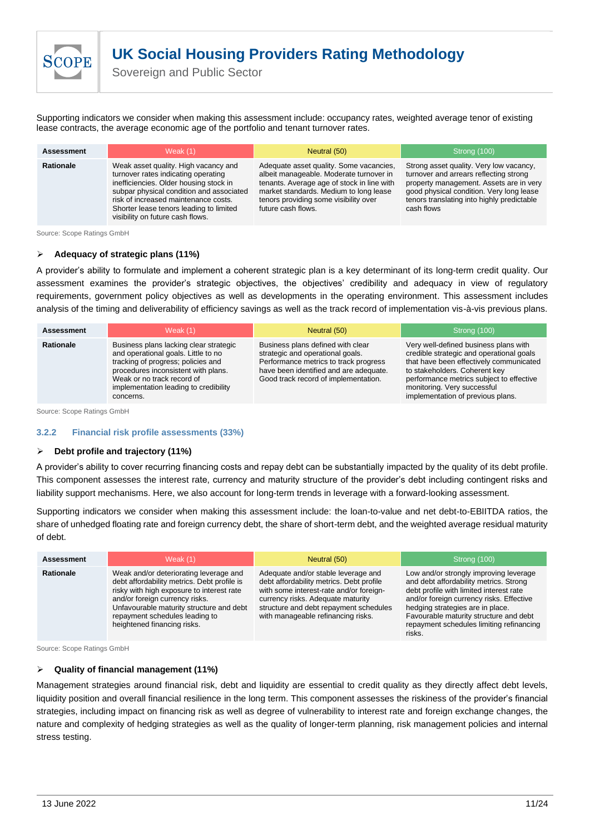Sovereign and Public Sector

Supporting indicators we consider when making this assessment include: occupancy rates, weighted average tenor of existing lease contracts, the average economic age of the portfolio and tenant turnover rates.

| <b>Assessment</b> | Weak $(1)$                                                                                                                                                                                                                                                                               | Neutral (50)                                                                                                                                                                                                                              | Strong (100)                                                                                                                                                                                                                         |
|-------------------|------------------------------------------------------------------------------------------------------------------------------------------------------------------------------------------------------------------------------------------------------------------------------------------|-------------------------------------------------------------------------------------------------------------------------------------------------------------------------------------------------------------------------------------------|--------------------------------------------------------------------------------------------------------------------------------------------------------------------------------------------------------------------------------------|
| <b>Rationale</b>  | Weak asset quality. High vacancy and<br>turnover rates indicating operating<br>inefficiencies. Older housing stock in<br>subpar physical condition and associated<br>risk of increased maintenance costs.<br>Shorter lease tenors leading to limited<br>visibility on future cash flows. | Adequate asset quality. Some vacancies,<br>albeit manageable. Moderate turnover in<br>tenants. Average age of stock in line with<br>market standards. Medium to long lease<br>tenors providing some visibility over<br>future cash flows. | Strong asset quality. Very low vacancy,<br>turnover and arrears reflecting strong<br>property management. Assets are in very<br>good physical condition. Very long lease<br>tenors translating into highly predictable<br>cash flows |

Source: Scope Ratings GmbH

**SCOF** 

#### ➢ **Adequacy of strategic plans (11%)**

A provider's ability to formulate and implement a coherent strategic plan is a key determinant of its long-term credit quality. Our assessment examines the provider's strategic objectives, the objectives' credibility and adequacy in view of regulatory requirements, government policy objectives as well as developments in the operating environment. This assessment includes analysis of the timing and deliverability of efficiency savings as well as the track record of implementation vis-à-vis previous plans.

| <b>Assessment</b> | Weak $(1)$                                                                                                                                                                                                                                     | Neutral (50)                                                                                                                                                                                     | Strong (100)                                                                                                                                                                                                                                                                  |  |  |
|-------------------|------------------------------------------------------------------------------------------------------------------------------------------------------------------------------------------------------------------------------------------------|--------------------------------------------------------------------------------------------------------------------------------------------------------------------------------------------------|-------------------------------------------------------------------------------------------------------------------------------------------------------------------------------------------------------------------------------------------------------------------------------|--|--|
| <b>Rationale</b>  | Business plans lacking clear strategic<br>and operational goals. Little to no<br>tracking of progress; policies and<br>procedures inconsistent with plans.<br>Weak or no track record of<br>implementation leading to credibility<br>concerns. | Business plans defined with clear<br>strategic and operational goals.<br>Performance metrics to track progress<br>have been identified and are adequate.<br>Good track record of implementation. | Very well-defined business plans with<br>credible strategic and operational goals<br>that have been effectively communicated<br>to stakeholders. Coherent key<br>performance metrics subject to effective<br>monitoring. Very successful<br>implementation of previous plans. |  |  |

Source: Scope Ratings GmbH

#### <span id="page-10-0"></span>**3.2.2 Financial risk profile assessments (33%)**

#### ➢ **Debt profile and trajectory (11%)**

A provider's ability to cover recurring financing costs and repay debt can be substantially impacted by the quality of its debt profile. This component assesses the interest rate, currency and maturity structure of the provider's debt including contingent risks and liability support mechanisms. Here, we also account for long-term trends in leverage with a forward-looking assessment.

Supporting indicators we consider when making this assessment include: the loan-to-value and net debt-to-EBIITDA ratios, the share of unhedged floating rate and foreign currency debt, the share of short-term debt, and the weighted average residual maturity of debt.

| <b>Assessment</b> | Weak $(1)$                                                                                                                                                                                                                                                                        | Neutral (50)                                                                                                                                                                                                                                    | Strong (100)                                                                                                                                                                                                                                                                                                |
|-------------------|-----------------------------------------------------------------------------------------------------------------------------------------------------------------------------------------------------------------------------------------------------------------------------------|-------------------------------------------------------------------------------------------------------------------------------------------------------------------------------------------------------------------------------------------------|-------------------------------------------------------------------------------------------------------------------------------------------------------------------------------------------------------------------------------------------------------------------------------------------------------------|
| <b>Rationale</b>  | Weak and/or deteriorating leverage and<br>debt affordability metrics. Debt profile is<br>risky with high exposure to interest rate<br>and/or foreign currency risks.<br>Unfavourable maturity structure and debt<br>repayment schedules leading to<br>heightened financing risks. | Adequate and/or stable leverage and<br>debt affordability metrics. Debt profile<br>with some interest-rate and/or foreign-<br>currency risks. Adequate maturity<br>structure and debt repayment schedules<br>with manageable refinancing risks. | Low and/or strongly improving leverage<br>and debt affordability metrics. Strong<br>debt profile with limited interest rate<br>and/or foreign currency risks. Effective<br>hedging strategies are in place.<br>Favourable maturity structure and debt<br>repayment schedules limiting refinancing<br>risks. |

Source: Scope Ratings GmbH

#### ➢ **Quality of financial management (11%)**

Management strategies around financial risk, debt and liquidity are essential to credit quality as they directly affect debt levels, liquidity position and overall financial resilience in the long term. This component assesses the riskiness of the provider's financial strategies, including impact on financing risk as well as degree of vulnerability to interest rate and foreign exchange changes, the nature and complexity of hedging strategies as well as the quality of longer-term planning, risk management policies and internal stress testing.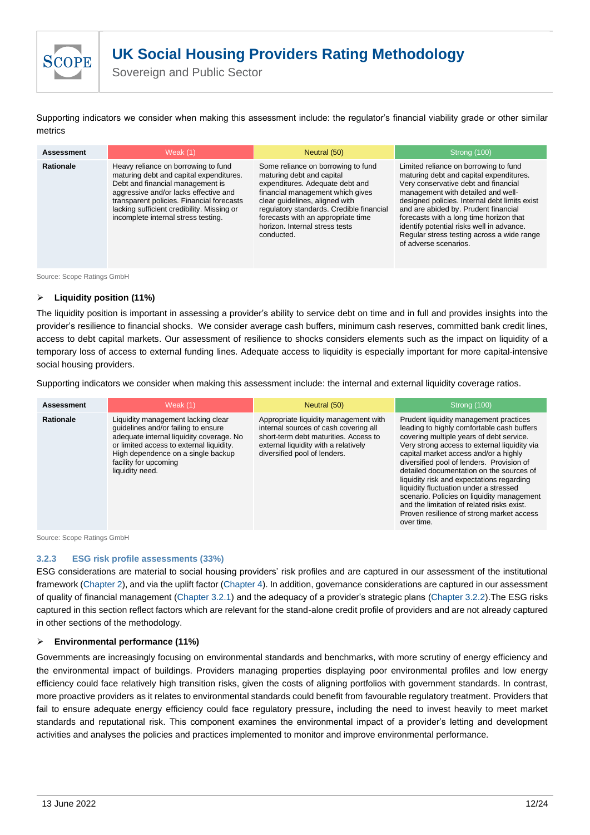

Sovereign and Public Sector

Supporting indicators we consider when making this assessment include: the regulator's financial viability grade or other similar metrics

| <b>Assessment</b> | Weak $(1)$                                                                                                                                                                                                                                                                                    | Neutral (50)                                                                                                                                                                                                                                                                                               | Strong (100)                                                                                                                                                                                                                                                                                                                                                                                                           |  |  |  |
|-------------------|-----------------------------------------------------------------------------------------------------------------------------------------------------------------------------------------------------------------------------------------------------------------------------------------------|------------------------------------------------------------------------------------------------------------------------------------------------------------------------------------------------------------------------------------------------------------------------------------------------------------|------------------------------------------------------------------------------------------------------------------------------------------------------------------------------------------------------------------------------------------------------------------------------------------------------------------------------------------------------------------------------------------------------------------------|--|--|--|
| <b>Rationale</b>  | Heavy reliance on borrowing to fund<br>maturing debt and capital expenditures.<br>Debt and financial management is<br>aggressive and/or lacks effective and<br>transparent policies. Financial forecasts<br>lacking sufficient credibility. Missing or<br>incomplete internal stress testing. | Some reliance on borrowing to fund<br>maturing debt and capital<br>expenditures. Adequate debt and<br>financial management which gives<br>clear quidelines, aligned with<br>regulatory standards. Credible financial<br>forecasts with an appropriate time<br>horizon. Internal stress tests<br>conducted. | Limited reliance on borrowing to fund<br>maturing debt and capital expenditures.<br>Very conservative debt and financial<br>management with detailed and well-<br>designed policies. Internal debt limits exist<br>and are abided by. Prudent financial<br>forecasts with a long time horizon that<br>identify potential risks well in advance.<br>Regular stress testing across a wide range<br>of adverse scenarios. |  |  |  |

Source: Scope Ratings GmbH

#### ➢ **Liquidity position (11%)**

The liquidity position is important in assessing a provider's ability to service debt on time and in full and provides insights into the provider's resilience to financial shocks. We consider average cash buffers, minimum cash reserves, committed bank credit lines, access to debt capital markets. Our assessment of resilience to shocks considers elements such as the impact on liquidity of a temporary loss of access to external funding lines. Adequate access to liquidity is especially important for more capital-intensive social housing providers.

Supporting indicators we consider when making this assessment include: the internal and external liquidity coverage ratios.

| <b>Assessment</b> | Weak (1)                                                                                                                                                                                                                                            | Neutral (50)                                                                                                                                                                                    | Strong (100)                                                                                                                                                                                                                                                                                                                                                                                                                                                                                                                                                     |
|-------------------|-----------------------------------------------------------------------------------------------------------------------------------------------------------------------------------------------------------------------------------------------------|-------------------------------------------------------------------------------------------------------------------------------------------------------------------------------------------------|------------------------------------------------------------------------------------------------------------------------------------------------------------------------------------------------------------------------------------------------------------------------------------------------------------------------------------------------------------------------------------------------------------------------------------------------------------------------------------------------------------------------------------------------------------------|
| <b>Rationale</b>  | Liquidity management lacking clear<br>quidelines and/or failing to ensure<br>adequate internal liquidity coverage. No<br>or limited access to external liquidity.<br>High dependence on a single backup<br>facility for upcoming<br>liquidity need. | Appropriate liquidity management with<br>internal sources of cash covering all<br>short-term debt maturities. Access to<br>external liquidity with a relatively<br>diversified pool of lenders. | Prudent liquidity management practices<br>leading to highly comfortable cash buffers<br>covering multiple years of debt service.<br>Very strong access to external liquidity via<br>capital market access and/or a highly<br>diversified pool of lenders. Provision of<br>detailed documentation on the sources of<br>liquidity risk and expectations regarding<br>liquidity fluctuation under a stressed<br>scenario. Policies on liquidity management<br>and the limitation of related risks exist.<br>Proven resilience of strong market access<br>over time. |

Source: Scope Ratings GmbH

#### <span id="page-11-0"></span>**3.2.3 ESG risk profile assessments (33%)**

ESG considerations are material to social housing providers' risk profiles and are captured in our assessment of the institutional framework [\(Chapter 2\)](#page-4-0), and via the uplift factor [\(Chapter 4\)](#page-15-1). In addition, governance considerations are captured in our assessment of quality of financial management [\(Chapter 3.2.1\)](#page-10-0) and the adequacy of a provider's strategic plans [\(Chapter 3.2.2\)](#page-9-0).The ESG risks captured in this section reflect factors which are relevant for the stand-alone credit profile of providers and are not already captured in other sections of the methodology.

#### ➢ **Environmental performance (11%)**

Governments are increasingly focusing on environmental standards and benchmarks, with more scrutiny of energy efficiency and the environmental impact of buildings. Providers managing properties displaying poor environmental profiles and low energy efficiency could face relatively high transition risks, given the costs of aligning portfolios with government standards. In contrast, more proactive providers as it relates to environmental standards could benefit from favourable regulatory treatment. Providers that fail to ensure adequate energy efficiency could face regulatory pressure**,** including the need to invest heavily to meet market standards and reputational risk. This component examines the environmental impact of a provider's letting and development activities and analyses the policies and practices implemented to monitor and improve environmental performance.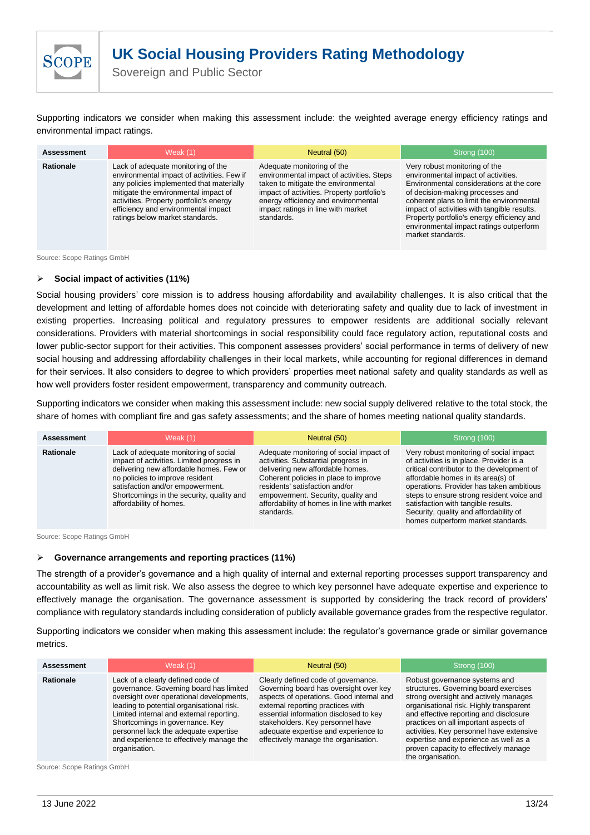Supporting indicators we consider when making this assessment include: the weighted average energy efficiency ratings and environmental impact ratings.

| <b>Assessment</b> | Weak $(1)$                                                                                                                                                                                                                                                                                | Neutral (50)                                                                                                                                                                                                                                            | Strong (100)                                                                                                                                                                                                                                                                                                                                                   |  |  |
|-------------------|-------------------------------------------------------------------------------------------------------------------------------------------------------------------------------------------------------------------------------------------------------------------------------------------|---------------------------------------------------------------------------------------------------------------------------------------------------------------------------------------------------------------------------------------------------------|----------------------------------------------------------------------------------------------------------------------------------------------------------------------------------------------------------------------------------------------------------------------------------------------------------------------------------------------------------------|--|--|
| <b>Rationale</b>  | Lack of adequate monitoring of the<br>environmental impact of activities. Few if<br>any policies implemented that materially<br>mitigate the environmental impact of<br>activities. Property portfolio's energy<br>efficiency and environmental impact<br>ratings below market standards. | Adequate monitoring of the<br>environmental impact of activities. Steps<br>taken to mitigate the environmental<br>impact of activities. Property portfolio's<br>energy efficiency and environmental<br>impact ratings in line with market<br>standards. | Very robust monitoring of the<br>environmental impact of activities.<br>Environmental considerations at the core<br>of decision-making processes and<br>coherent plans to limit the environmental<br>impact of activities with tangible results.<br>Property portfolio's energy efficiency and<br>environmental impact ratings outperform<br>market standards. |  |  |

Source: Scope Ratings GmbH

**SCOPE** 

#### ➢ **Social impact of activities (11%)**

Social housing providers' core mission is to address housing affordability and availability challenges. It is also critical that the development and letting of affordable homes does not coincide with deteriorating safety and quality due to lack of investment in existing properties. Increasing political and regulatory pressures to empower residents are additional socially relevant considerations. Providers with material shortcomings in social responsibility could face regulatory action, reputational costs and lower public-sector support for their activities. This component assesses providers' social performance in terms of delivery of new social housing and addressing affordability challenges in their local markets, while accounting for regional differences in demand for their services. It also considers to degree to which providers' properties meet national safety and quality standards as well as how well providers foster resident empowerment, transparency and community outreach.

Supporting indicators we consider when making this assessment include: new social supply delivered relative to the total stock, the share of homes with compliant fire and gas safety assessments; and the share of homes meeting national quality standards.

| <b>Assessment</b> | Weak $(1)$                                                                                                                                                                                                                                                                   | Neutral (50)                                                                                                                                                                                                                                                                                    | Strong (100)                                                                                                                                                                                                                                                                                                                                                                            |  |  |
|-------------------|------------------------------------------------------------------------------------------------------------------------------------------------------------------------------------------------------------------------------------------------------------------------------|-------------------------------------------------------------------------------------------------------------------------------------------------------------------------------------------------------------------------------------------------------------------------------------------------|-----------------------------------------------------------------------------------------------------------------------------------------------------------------------------------------------------------------------------------------------------------------------------------------------------------------------------------------------------------------------------------------|--|--|
| <b>Rationale</b>  | Lack of adequate monitoring of social<br>impact of activities. Limited progress in<br>delivering new affordable homes. Few or<br>no policies to improve resident<br>satisfaction and/or empowerment.<br>Shortcomings in the security, quality and<br>affordability of homes. | Adequate monitoring of social impact of<br>activities. Substantial progress in<br>delivering new affordable homes.<br>Coherent policies in place to improve<br>residents' satisfaction and/or<br>empowerment. Security, quality and<br>affordability of homes in line with market<br>standards. | Very robust monitoring of social impact<br>of activities is in place. Provider is a<br>critical contributor to the development of<br>affordable homes in its area(s) of<br>operations. Provider has taken ambitious<br>steps to ensure strong resident voice and<br>satisfaction with tangible results.<br>Security, quality and affordability of<br>homes outperform market standards. |  |  |

Source: Scope Ratings GmbH

#### ➢ **Governance arrangements and reporting practices (11%)**

The strength of a provider's governance and a high quality of internal and external reporting processes support transparency and accountability as well as limit risk. We also assess the degree to which key personnel have adequate expertise and experience to effectively manage the organisation. The governance assessment is supported by considering the track record of providers' compliance with regulatory standards including consideration of publicly available governance grades from the respective regulator.

Supporting indicators we consider when making this assessment include: the regulator's governance grade or similar governance metrics.

| <b>Assessment</b> | Weak $(1)$                                                                                                                                                                                                                                                                                                                                                 | Neutral (50)                                                                                                                                                                                                                                                                                                                 | Strong (100)                                                                                                                                                                                                                                                                                                                                                                                     |  |  |
|-------------------|------------------------------------------------------------------------------------------------------------------------------------------------------------------------------------------------------------------------------------------------------------------------------------------------------------------------------------------------------------|------------------------------------------------------------------------------------------------------------------------------------------------------------------------------------------------------------------------------------------------------------------------------------------------------------------------------|--------------------------------------------------------------------------------------------------------------------------------------------------------------------------------------------------------------------------------------------------------------------------------------------------------------------------------------------------------------------------------------------------|--|--|
| <b>Rationale</b>  | Lack of a clearly defined code of<br>governance. Governing board has limited<br>oversight over operational developments,<br>leading to potential organisational risk.<br>Limited internal and external reporting.<br>Shortcomings in governance. Key<br>personnel lack the adequate expertise<br>and experience to effectively manage the<br>organisation. | Clearly defined code of governance.<br>Governing board has oversight over key<br>aspects of operations. Good internal and<br>external reporting practices with<br>essential information disclosed to key<br>stakeholders. Key personnel have<br>adequate expertise and experience to<br>effectively manage the organisation. | Robust governance systems and<br>structures. Governing board exercises<br>strong oversight and actively manages<br>organisational risk. Highly transparent<br>and effective reporting and disclosure<br>practices on all important aspects of<br>activities. Key personnel have extensive<br>expertise and experience as well as a<br>proven capacity to effectively manage<br>the organisation. |  |  |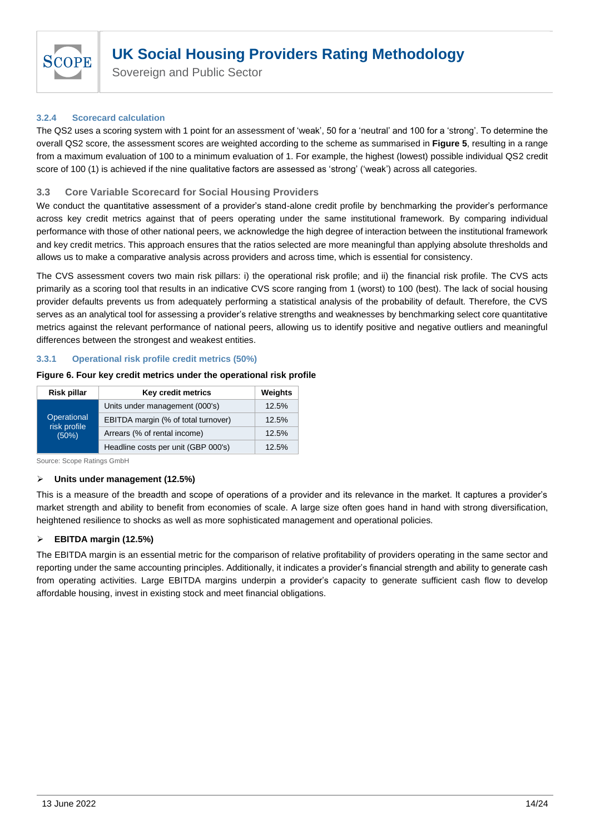

Sovereign and Public Sector

# <span id="page-13-0"></span>**3.2.4 Scorecard calculation**

The QS2 uses a scoring system with 1 point for an assessment of 'weak', 50 for a 'neutral' and 100 for a 'strong'. To determine the overall QS2 score, the assessment scores are weighted according to the scheme as summarised in **Figure 5**, resulting in a range from a maximum evaluation of 100 to a minimum evaluation of 1. For example, the highest (lowest) possible individual QS2 credit score of 100 (1) is achieved if the nine qualitative factors are assessed as 'strong' ('weak') across all categories.

# <span id="page-13-1"></span>**3.3 Core Variable Scorecard for Social Housing Providers**

We conduct the quantitative assessment of a provider's stand-alone credit profile by benchmarking the provider's performance across key credit metrics against that of peers operating under the same institutional framework. By comparing individual performance with those of other national peers, we acknowledge the high degree of interaction between the institutional framework and key credit metrics. This approach ensures that the ratios selected are more meaningful than applying absolute thresholds and allows us to make a comparative analysis across providers and across time, which is essential for consistency.

The CVS assessment covers two main risk pillars: i) the operational risk profile; and ii) the financial risk profile. The CVS acts primarily as a scoring tool that results in an indicative CVS score ranging from 1 (worst) to 100 (best). The lack of social housing provider defaults prevents us from adequately performing a statistical analysis of the probability of default. Therefore, the CVS serves as an analytical tool for assessing a provider's relative strengths and weaknesses by benchmarking select core quantitative metrics against the relevant performance of national peers, allowing us to identify positive and negative outliers and meaningful differences between the strongest and weakest entities.

#### <span id="page-13-2"></span>**3.3.1 Operational risk profile credit metrics (50%)**

#### **Figure 6. Four key credit metrics under the operational risk profile**

| <b>Risk pillar</b>    | Key credit metrics                  | Weights |
|-----------------------|-------------------------------------|---------|
|                       | Units under management (000's)      | 12.5%   |
| Operational           | EBITDA margin (% of total turnover) | 12.5%   |
| risk profile<br>(50%) | Arrears (% of rental income)        | 12.5%   |
|                       | Headline costs per unit (GBP 000's) | 12.5%   |

Source: Scope Ratings GmbH

## ➢ **Units under management (12.5%)**

This is a measure of the breadth and scope of operations of a provider and its relevance in the market. It captures a provider's market strength and ability to benefit from economies of scale. A large size often goes hand in hand with strong diversification, heightened resilience to shocks as well as more sophisticated management and operational policies.

## ➢ **EBITDA margin (12.5%)**

The EBITDA margin is an essential metric for the comparison of relative profitability of providers operating in the same sector and reporting under the same accounting principles. Additionally, it indicates a provider's financial strength and ability to generate cash from operating activities. Large EBITDA margins underpin a provider's capacity to generate sufficient cash flow to develop affordable housing, invest in existing stock and meet financial obligations.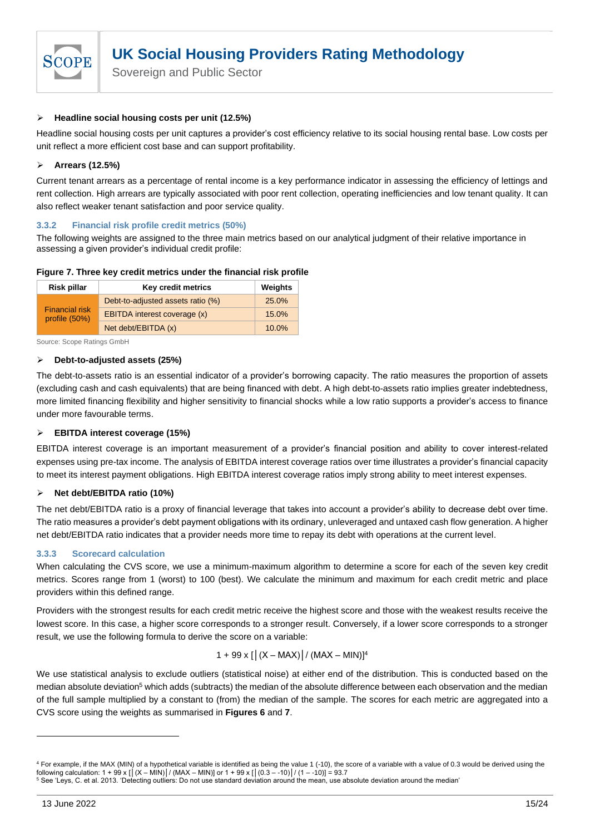

## ➢ **Headline social housing costs per unit (12.5%)**

Headline social housing costs per unit captures a provider's cost efficiency relative to its social housing rental base. Low costs per unit reflect a more efficient cost base and can support profitability.

# ➢ **Arrears (12.5%)**

Current tenant arrears as a percentage of rental income is a key performance indicator in assessing the efficiency of lettings and rent collection. High arrears are typically associated with poor rent collection, operating inefficiencies and low tenant quality. It can also reflect weaker tenant satisfaction and poor service quality.

## <span id="page-14-0"></span>**3.3.2 Financial risk profile credit metrics (50%)**

The following weights are assigned to the three main metrics based on our analytical judgment of their relative importance in assessing a given provider's individual credit profile:

## **Figure 7. Three key credit metrics under the financial risk profile**

| <b>Risk pillar</b>                     | Key credit metrics                | Weights |
|----------------------------------------|-----------------------------------|---------|
|                                        | Debt-to-adjusted assets ratio (%) | 25.0%   |
| <b>Financial risk</b><br>profile (50%) | EBITDA interest coverage (x)      | 15.0%   |
|                                        | Net debt/EBITDA (x)               | 10.0%   |

Source: Scope Ratings GmbH

## ➢ **Debt-to-adjusted assets (25%)**

The debt-to-assets ratio is an essential indicator of a provider's borrowing capacity. The ratio measures the proportion of assets (excluding cash and cash equivalents) that are being financed with debt. A high debt-to-assets ratio implies greater indebtedness, more limited financing flexibility and higher sensitivity to financial shocks while a low ratio supports a provider's access to finance under more favourable terms.

## ➢ **EBITDA interest coverage (15%)**

EBITDA interest coverage is an important measurement of a provider's financial position and ability to cover interest-related expenses using pre-tax income. The analysis of EBITDA interest coverage ratios over time illustrates a provider's financial capacity to meet its interest payment obligations. High EBITDA interest coverage ratios imply strong ability to meet interest expenses.

## ➢ **Net debt/EBITDA ratio (10%)**

The net debt/EBITDA ratio is a proxy of financial leverage that takes into account a provider's ability to decrease debt over time. The ratio measures a provider's debt payment obligations with its ordinary, unleveraged and untaxed cash flow generation. A higher net debt/EBITDA ratio indicates that a provider needs more time to repay its debt with operations at the current level.

## <span id="page-14-1"></span>**3.3.3 Scorecard calculation**

When calculating the CVS score, we use a minimum-maximum algorithm to determine a score for each of the seven key credit metrics. Scores range from 1 (worst) to 100 (best). We calculate the minimum and maximum for each credit metric and place providers within this defined range.

Providers with the strongest results for each credit metric receive the highest score and those with the weakest results receive the lowest score. In this case, a higher score corresponds to a stronger result. Conversely, if a lower score corresponds to a stronger result, we use the following formula to derive the score on a variable:

$$
1 + 99 \times [|(X - MAX)| / (MAX - MIN)]^4
$$

We use statistical analysis to exclude outliers (statistical noise) at either end of the distribution. This is conducted based on the median absolute deviation<sup>5</sup> which adds (subtracts) the median of the absolute difference between each observation and the median of the full sample multiplied by a constant to (from) the median of the sample. The scores for each metric are aggregated into a CVS score using the weights as summarised in **Figures 6** and **7**.

<sup>&</sup>lt;sup>4</sup> For example, if the MAX (MIN) of a hypothetical variable is identified as being the value 1 (-10), the score of a variable with a value of 0.3 would be derived using the following calculation: 1 + 99 x [│(X – MIN)│/ (MAX – MIN)] or 1 + 99 x [│(0.3 – -10)│/ (1 – -10)] = 93.7

<sup>5</sup> See 'Leys, C. et al. 2013. 'Detecting outliers: Do not use standard deviation around the mean, use absolute deviation around the median'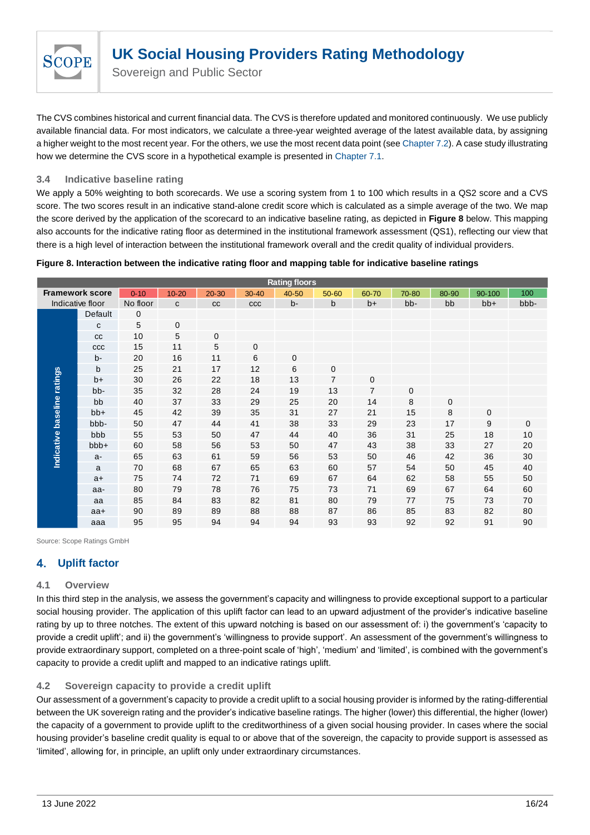

The CVS combines historical and current financial data. The CVS is therefore updated and monitored continuously. We use publicly available financial data. For most indicators, we calculate a three-year weighted average of the latest available data, by assigning a higher weight to the most recent year. For the others, we use the most recent data point (se[e Chapter 7.2\)](#page-21-0). A case study illustrating how we determine the CVS score in a hypothetical example is presented in [Chapter 7.1.](#page-19-1)

# <span id="page-15-0"></span>**3.4 Indicative baseline rating**

We apply a 50% weighting to both scorecards. We use a scoring system from 1 to 100 which results in a QS2 score and a CVS score. The two scores result in an indicative stand-alone credit score which is calculated as a simple average of the two. We map the score derived by the application of the scorecard to an indicative baseline rating, as depicted in **Figure 8** below. This mapping also accounts for the indicative rating floor as determined in the institutional framework assessment (QS1), reflecting our view that there is a high level of interaction between the institutional framework overall and the credit quality of individual providers.

## **Figure 8. Interaction between the indicative rating floor and mapping table for indicative baseline ratings**

| <b>Rating floors</b>        |                        |             |              |             |             |             |                |                |              |       |        |      |
|-----------------------------|------------------------|-------------|--------------|-------------|-------------|-------------|----------------|----------------|--------------|-------|--------|------|
|                             | <b>Framework score</b> | $0 - 10$    | $10 - 20$    | $20 - 30$   | $30 - 40$   | 40-50       | 50-60          | 60-70          | 70-80        | 80-90 | 90-100 | 100  |
|                             | Indicative floor       | No floor    | $\mathbf{C}$ | cc          | CCC         | $b -$       | b              | $b+$           | bb-          | bb    | $bb+$  | bbb- |
|                             | Default                | $\mathbf 0$ |              |             |             |             |                |                |              |       |        |      |
|                             | C                      | 5           | $\mathbf 0$  |             |             |             |                |                |              |       |        |      |
|                             | cc                     | 10          | 5            | $\mathbf 0$ |             |             |                |                |              |       |        |      |
|                             | CCC                    | 15          | 11           | 5           | $\mathbf 0$ |             |                |                |              |       |        |      |
|                             | b-                     | 20          | 16           | 11          | 6           | $\mathbf 0$ |                |                |              |       |        |      |
|                             | b                      | 25          | 21           | 17          | 12          | 6           | $\mathbf 0$    |                |              |       |        |      |
| Indicative baseline ratings | $b+$                   | 30          | 26           | 22          | 18          | 13          | $\overline{7}$ | 0              |              |       |        |      |
|                             | bb-                    | 35          | 32           | 28          | 24          | 19          | 13             | $\overline{7}$ | $\mathbf{0}$ |       |        |      |
|                             | bb                     | 40          | 37           | 33          | 29          | 25          | 20             | 14             | 8            | 0     |        |      |
|                             | bb+                    | 45          | 42           | 39          | 35          | 31          | 27             | 21             | 15           | 8     | 0      |      |
|                             | bbb-                   | 50          | 47           | 44          | 41          | 38          | 33             | 29             | 23           | 17    | 9      | 0    |
|                             | bbb                    | 55          | 53           | 50          | 47          | 44          | 40             | 36             | 31           | 25    | 18     | 10   |
|                             | bbb+                   | 60          | 58           | 56          | 53          | 50          | 47             | 43             | 38           | 33    | 27     | 20   |
|                             | a-                     | 65          | 63           | 61          | 59          | 56          | 53             | 50             | 46           | 42    | 36     | 30   |
|                             | a                      | 70          | 68           | 67          | 65          | 63          | 60             | 57             | 54           | 50    | 45     | 40   |
|                             | $a+$                   | 75          | 74           | 72          | 71          | 69          | 67             | 64             | 62           | 58    | 55     | 50   |
|                             | aa-                    | 80          | 79           | 78          | 76          | 75          | 73             | 71             | 69           | 67    | 64     | 60   |
|                             | aa                     | 85          | 84           | 83          | 82          | 81          | 80             | 79             | 77           | 75    | 73     | 70   |
|                             | $aa+$                  | 90          | 89           | 89          | 88          | 88          | 87             | 86             | 85           | 83    | 82     | 80   |
|                             | aaa                    | 95          | 95           | 94          | 94          | 94          | 93             | 93             | 92           | 92    | 91     | 90   |

Source: Scope Ratings GmbH

#### <span id="page-15-1"></span>4. **Uplift factor**

# <span id="page-15-2"></span>**4.1 Overview**

In this third step in the analysis, we assess the government's capacity and willingness to provide exceptional support to a particular social housing provider. The application of this uplift factor can lead to an upward adjustment of the provider's indicative baseline rating by up to three notches. The extent of this upward notching is based on our assessment of: i) the government's 'capacity to provide a credit uplift'; and ii) the government's 'willingness to provide support'. An assessment of the government's willingness to provide extraordinary support, completed on a three-point scale of 'high', 'medium' and 'limited', is combined with the government's capacity to provide a credit uplift and mapped to an indicative ratings uplift.

# <span id="page-15-3"></span>**4.2 Sovereign capacity to provide a credit uplift**

Our assessment of a government's capacity to provide a credit uplift to a social housing provider is informed by the rating-differential between the UK sovereign rating and the provider's indicative baseline ratings. The higher (lower) this differential, the higher (lower) the capacity of a government to provide uplift to the creditworthiness of a given social housing provider. In cases where the social housing provider's baseline credit quality is equal to or above that of the sovereign, the capacity to provide support is assessed as 'limited', allowing for, in principle, an uplift only under extraordinary circumstances.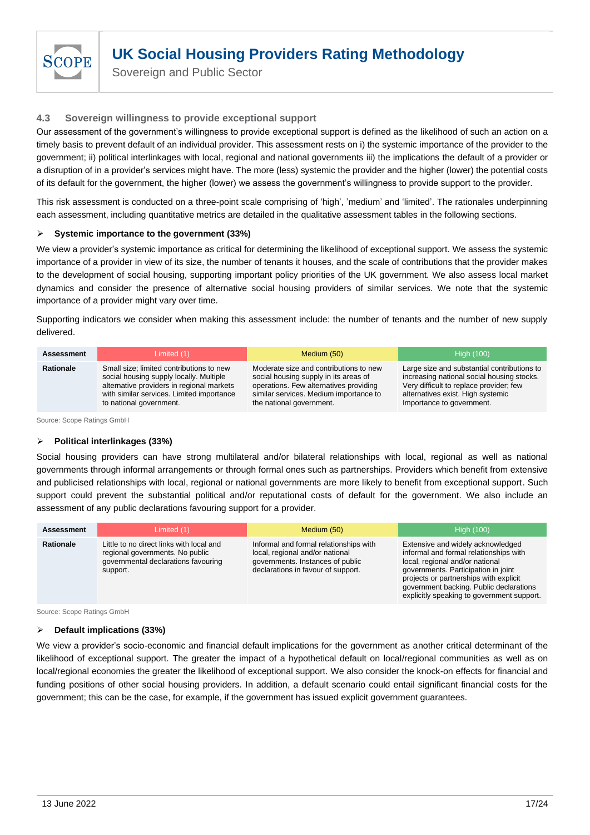

Sovereign and Public Sector

# <span id="page-16-0"></span>**4.3 Sovereign willingness to provide exceptional support**

Our assessment of the government's willingness to provide exceptional support is defined as the likelihood of such an action on a timely basis to prevent default of an individual provider. This assessment rests on i) the systemic importance of the provider to the government; ii) political interlinkages with local, regional and national governments iii) the implications the default of a provider or a disruption of in a provider's services might have. The more (less) systemic the provider and the higher (lower) the potential costs of its default for the government, the higher (lower) we assess the government's willingness to provide support to the provider.

This risk assessment is conducted on a three-point scale comprising of 'high', 'medium' and 'limited'. The rationales underpinning each assessment, including quantitative metrics are detailed in the qualitative assessment tables in the following sections.

# ➢ **Systemic importance to the government (33%)**

We view a provider's systemic importance as critical for determining the likelihood of exceptional support. We assess the systemic importance of a provider in view of its size, the number of tenants it houses, and the scale of contributions that the provider makes to the development of social housing, supporting important policy priorities of the UK government. We also assess local market dynamics and consider the presence of alternative social housing providers of similar services. We note that the systemic importance of a provider might vary over time.

Supporting indicators we consider when making this assessment include: the number of tenants and the number of new supply delivered.

| <b>Assessment</b> | Limited $(1)$                             | Medium (50)                            | <b>High (100)</b>                           |  |  |
|-------------------|-------------------------------------------|----------------------------------------|---------------------------------------------|--|--|
| <b>Rationale</b>  | Small size; limited contributions to new  | Moderate size and contributions to new | Large size and substantial contributions to |  |  |
|                   | social housing supply locally. Multiple   | social housing supply in its areas of  | increasing national social housing stocks.  |  |  |
|                   | alternative providers in regional markets | operations. Few alternatives providing | Very difficult to replace provider; few     |  |  |
|                   | with similar services. Limited importance | similar services. Medium importance to | alternatives exist. High systemic           |  |  |
|                   | to national government.                   | the national government.               | Importance to government.                   |  |  |

Source: Scope Ratings GmbH

## ➢ **Political interlinkages (33%)**

Social housing providers can have strong multilateral and/or bilateral relationships with local, regional as well as national governments through informal arrangements or through formal ones such as partnerships. Providers which benefit from extensive and publicised relationships with local, regional or national governments are more likely to benefit from exceptional support. Such support could prevent the substantial political and/or reputational costs of default for the government. We also include an assessment of any public declarations favouring support for a provider.

| Assessment       | Limited $(1)$                                                                                                                  | Medium (50)                                                                                                                                         | <b>High (100)</b>                                                                                                                                                                                                                                                                        |
|------------------|--------------------------------------------------------------------------------------------------------------------------------|-----------------------------------------------------------------------------------------------------------------------------------------------------|------------------------------------------------------------------------------------------------------------------------------------------------------------------------------------------------------------------------------------------------------------------------------------------|
| <b>Rationale</b> | Little to no direct links with local and<br>regional governments. No public<br>governmental declarations favouring<br>support. | Informal and formal relationships with<br>local, regional and/or national<br>governments. Instances of public<br>declarations in favour of support. | Extensive and widely acknowledged<br>informal and formal relationships with<br>local, regional and/or national<br>governments. Participation in joint<br>projects or partnerships with explicit<br>government backing. Public declarations<br>explicitly speaking to government support. |

Source: Scope Ratings GmbH

## ➢ **Default implications (33%)**

We view a provider's socio-economic and financial default implications for the government as another critical determinant of the likelihood of exceptional support. The greater the impact of a hypothetical default on local/regional communities as well as on local/regional economies the greater the likelihood of exceptional support. We also consider the knock-on effects for financial and funding positions of other social housing providers. In addition, a default scenario could entail significant financial costs for the government; this can be the case, for example, if the government has issued explicit government guarantees.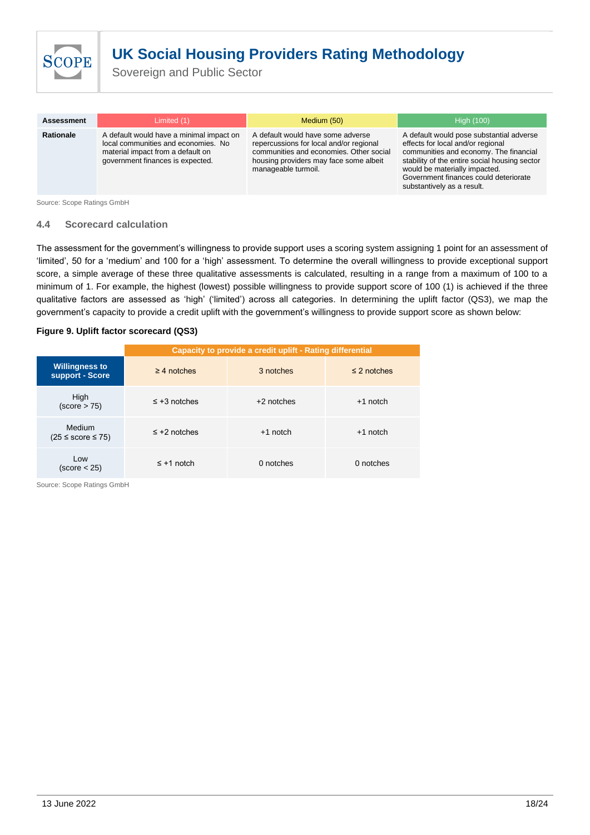

Sovereign and Public Sector

| <b>Assessment</b> | Limited (1)                                                                                                                                              | Medium (50)                                                                                                                                                                              | <b>High (100)</b>                                                                                                                                                                                                                                                                |
|-------------------|----------------------------------------------------------------------------------------------------------------------------------------------------------|------------------------------------------------------------------------------------------------------------------------------------------------------------------------------------------|----------------------------------------------------------------------------------------------------------------------------------------------------------------------------------------------------------------------------------------------------------------------------------|
| <b>Rationale</b>  | A default would have a minimal impact on<br>local communities and economies. No<br>material impact from a default on<br>government finances is expected. | A default would have some adverse<br>repercussions for local and/or regional<br>communities and economies. Other social<br>housing providers may face some albeit<br>manageable turmoil. | A default would pose substantial adverse<br>effects for local and/or regional<br>communities and economy. The financial<br>stability of the entire social housing sector<br>would be materially impacted.<br>Government finances could deteriorate<br>substantively as a result. |

Source: Scope Ratings GmbH

## <span id="page-17-0"></span>**4.4 Scorecard calculation**

The assessment for the government's willingness to provide support uses a scoring system assigning 1 point for an assessment of 'limited', 50 for a 'medium' and 100 for a 'high' assessment. To determine the overall willingness to provide exceptional support score, a simple average of these three qualitative assessments is calculated, resulting in a range from a maximum of 100 to a minimum of 1. For example, the highest (lowest) possible willingness to provide support score of 100 (1) is achieved if the three qualitative factors are assessed as 'high' ('limited') across all categories. In determining the uplift factor (QS3), we map the government's capacity to provide a credit uplift with the government's willingness to provide support score as shown below:

#### **Figure 9. Uplift factor scorecard (QS3)**

|                                            | Capacity to provide a credit uplift - Rating differential |              |                  |  |  |
|--------------------------------------------|-----------------------------------------------------------|--------------|------------------|--|--|
| <b>Willingness to</b><br>support - Score   | $\geq$ 4 notches                                          | 3 notches    | $\leq$ 2 notches |  |  |
| High<br>(score > 75)                       | $\leq$ +3 notches                                         | $+2$ notches | $+1$ notch       |  |  |
| Medium<br>$(25 \leq \text{score} \leq 75)$ | $\leq$ +2 notches                                         | $+1$ notch   | $+1$ notch       |  |  |
| Low<br>(score < 25)                        | $\leq$ +1 notch                                           | 0 notches    | 0 notches        |  |  |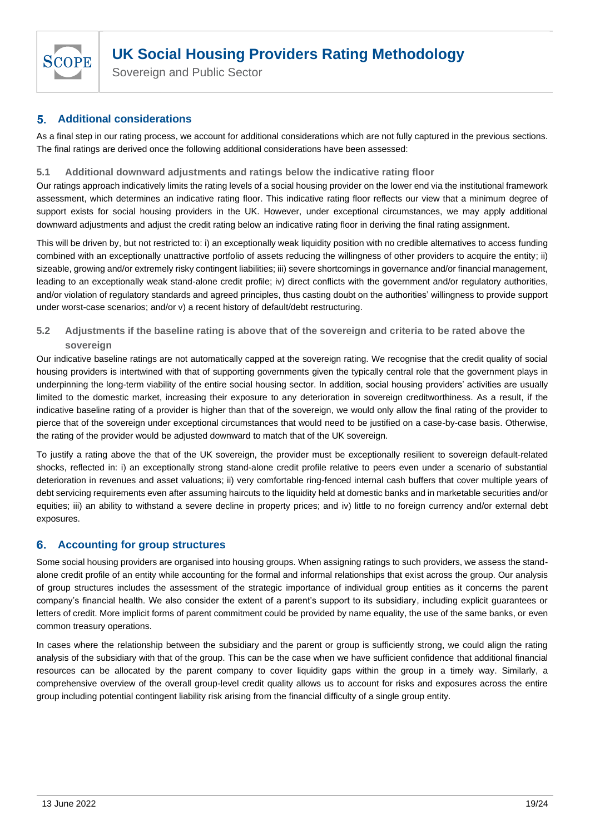

Sovereign and Public Sector

#### <span id="page-18-0"></span>**Additional considerations** 5.

<span id="page-18-4"></span>As a final step in our rating process, we account for additional considerations which are not fully captured in the previous sections. The final ratings are derived once the following additional considerations have been assessed:

# <span id="page-18-1"></span>**5.1 Additional downward adjustments and ratings below the indicative rating floor**

Our ratings approach indicatively limits the rating levels of a social housing provider on the lower end via the institutional framework assessment, which determines an indicative rating floor. This indicative rating floor reflects our view that a minimum degree of support exists for social housing providers in the UK. However, under exceptional circumstances, we may apply additional downward adjustments and adjust the credit rating below an indicative rating floor in deriving the final rating assignment.

This will be driven by, but not restricted to: i) an exceptionally weak liquidity position with no credible alternatives to access funding combined with an exceptionally unattractive portfolio of assets reducing the willingness of other providers to acquire the entity; ii) sizeable, growing and/or extremely risky contingent liabilities; iii) severe shortcomings in governance and/or financial management, leading to an exceptionally weak stand-alone credit profile; iv) direct conflicts with the government and/or regulatory authorities, and/or violation of regulatory standards and agreed principles, thus casting doubt on the authorities' willingness to provide support under worst-case scenarios; and/or v) a recent history of default/debt restructuring.

# <span id="page-18-2"></span>**5.2 Adjustments if the baseline rating is above that of the sovereign and criteria to be rated above the sovereign**

Our indicative baseline ratings are not automatically capped at the sovereign rating. We recognise that the credit quality of social housing providers is intertwined with that of supporting governments given the typically central role that the government plays in underpinning the long-term viability of the entire social housing sector. In addition, social housing providers' activities are usually limited to the domestic market, increasing their exposure to any deterioration in sovereign creditworthiness. As a result, if the indicative baseline rating of a provider is higher than that of the sovereign, we would only allow the final rating of the provider to pierce that of the sovereign under exceptional circumstances that would need to be justified on a case-by-case basis. Otherwise, the rating of the provider would be adjusted downward to match that of the UK sovereign.

To justify a rating above the that of the UK sovereign, the provider must be exceptionally resilient to sovereign default-related shocks, reflected in: i) an exceptionally strong stand-alone credit profile relative to peers even under a scenario of substantial deterioration in revenues and asset valuations; ii) very comfortable ring-fenced internal cash buffers that cover multiple years of debt servicing requirements even after assuming haircuts to the liquidity held at domestic banks and in marketable securities and/or equities; iii) an ability to withstand a severe decline in property prices; and iv) little to no foreign currency and/or external debt exposures.

#### <span id="page-18-3"></span>6. **Accounting for group structures**

Some social housing providers are organised into housing groups. When assigning ratings to such providers, we assess the standalone credit profile of an entity while accounting for the formal and informal relationships that exist across the group. Our analysis of group structures includes the assessment of the strategic importance of individual group entities as it concerns the parent company's financial health. We also consider the extent of a parent's support to its subsidiary, including explicit guarantees or letters of credit. More implicit forms of parent commitment could be provided by name equality, the use of the same banks, or even common treasury operations.

In cases where the relationship between the subsidiary and the parent or group is sufficiently strong, we could align the rating analysis of the subsidiary with that of the group. This can be the case when we have sufficient confidence that additional financial resources can be allocated by the parent company to cover liquidity gaps within the group in a timely way. Similarly, a comprehensive overview of the overall group-level credit quality allows us to account for risks and exposures across the entire group including potential contingent liability risk arising from the financial difficulty of a single group entity.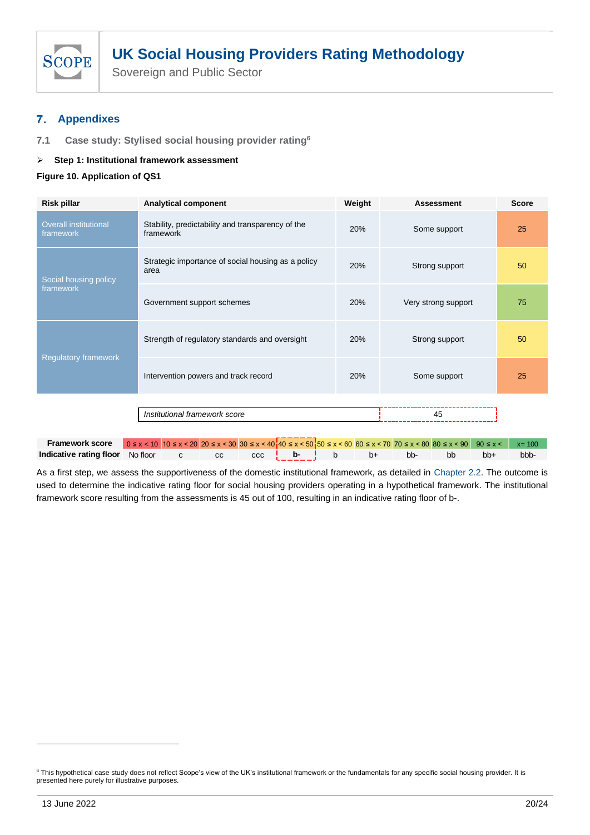

#### <span id="page-19-0"></span>**Appendixes** 7.

<span id="page-19-1"></span>**7.1 Case study: Stylised social housing provider rating<sup>6</sup>**

# ➢ **Step 1: Institutional framework assessment**

**Figure 10. Application of QS1**

| <b>Risk pillar</b>                        | Weight<br><b>Analytical component</b>                                                                                                                |     | <b>Assessment</b>   | <b>Score</b> |  |
|-------------------------------------------|------------------------------------------------------------------------------------------------------------------------------------------------------|-----|---------------------|--------------|--|
| <b>Overall institutional</b><br>framework | Stability, predictability and transparency of the<br>framework                                                                                       |     | Some support        | 25           |  |
| Social housing policy                     | Strategic importance of social housing as a policy<br>area                                                                                           | 20% | Strong support      | 50           |  |
| framework                                 | Government support schemes                                                                                                                           | 20% | Very strong support | 75           |  |
|                                           | Strength of regulatory standards and oversight                                                                                                       | 20% | Strong support      | 50           |  |
| <b>Regulatory framework</b>               | Intervention powers and track record                                                                                                                 | 20% | Some support        | 25           |  |
|                                           |                                                                                                                                                      |     |                     |              |  |
|                                           | 45                                                                                                                                                   |     |                     |              |  |
|                                           |                                                                                                                                                      |     |                     |              |  |
| <b>Framework score</b>                    | $0 \le x < 10$ $10 \le x < 20$ $20 \le x < 30$ $30 \le x < 40$ $40 \le x < 50$ $50 \le x < 60$ 60 $5 \le x < 70$ 70 $5 \le x < 80$ 80 $5 \le x < 90$ |     | $90 \leq x <$       | $x = 100$    |  |

As a first step, we assess the supportiveness of the domestic institutional framework, as detailed in [Chapter 2.2.](#page-4-2) The outcome is used to determine the indicative rating floor for social housing providers operating in a hypothetical framework. The institutional framework score resulting from the assessments is 45 out of 100, resulting in an indicative rating floor of b-. Framework score<br>
Indicative rating floor<br>
As a first step, we assess the suppoused to determine the indicative rat<br>
framework score resulting from the a<br>
Framework score<br>
Framework score<br>
Framework score<br>
Framework score<br>

**Indicative rating floor** No floor c cc ccc **b- b**- **b** b+ bb- bb bb+ bbb-

<sup>&</sup>lt;sup>6</sup> This hypothetical case study does not reflect Scope's view of the UK's institutional framework or the fundamentals for any specific social housing provider. It is presented here purely for illustrative purposes.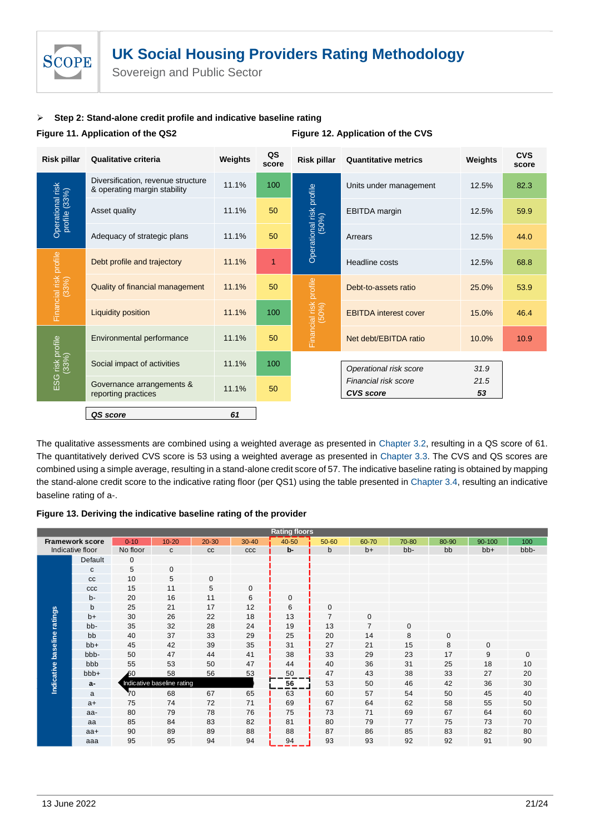

Sovereign and Public Sector

# ➢ **Step 2: Stand-alone credit profile and indicative baseline rating**

#### **Figure 11. Application of the QS2 Figure 12. Application of the CVS**

| Risk pillar                       | Qualitative criteria                                               | Weights | QS<br>score | <b>Risk pillar</b>                | <b>Quantitative metrics</b>              | Weights    | <b>CVS</b><br>score |
|-----------------------------------|--------------------------------------------------------------------|---------|-------------|-----------------------------------|------------------------------------------|------------|---------------------|
|                                   | Diversification, revenue structure<br>& operating margin stability | 11.1%   | 100         |                                   | Units under management                   | 12.5%      | 82.3                |
| Operational risk<br>profile (33%) | Asset quality                                                      | 11.1%   | 50          |                                   | <b>EBITDA</b> margin                     | 12.5%      | 59.9                |
|                                   | Adequacy of strategic plans                                        | 11.1%   | 50          | Operational risk profile<br>(50%) | Arrears                                  | 12.5%      | 44.0                |
|                                   | Debt profile and trajectory                                        | 11.1%   | 1           |                                   | Headline costs                           | 12.5%      | 68.8                |
| Financial risk profile<br>(33%)   | <b>Quality of financial management</b>                             | 11.1%   | 50          |                                   | Debt-to-assets ratio                     | 25.0%      | 53.9                |
|                                   | Liquidity position                                                 | 11.1%   | 100         | Financial risk profile<br>(50%)   | <b>EBITDA</b> interest cover             | 15.0%      | 46.4                |
|                                   | Environmental performance                                          | 11.1%   | 50          |                                   | Net debt/EBITDA ratio                    | 10.0%      | 10.9                |
| i risk profile<br>(33%)           | Social impact of activities                                        | 11.1%   | 100         |                                   | Operational risk score                   | 31.9       |                     |
| ESG                               | Governance arrangements &<br>reporting practices                   | 11.1%   | 50          |                                   | Financial risk score<br><b>CVS</b> score | 21.5<br>53 |                     |
|                                   | QS score                                                           | 61      |             |                                   |                                          |            |                     |

The qualitative assessments are combined using a weighted average as presented in [Chapter 3.2](#page-15-1), resulting in a QS score of 61. The quantitatively derived CVS score is 53 using a weighted average as presented in [Chapter 3.3.](#page-13-1) The CVS and QS scores are combined using a simple average, resulting in a stand-alone credit score of 57. The indicative baseline rating is obtained by mapping the stand-alone credit score to the indicative rating floor (per QS1) using the table presented in Chapter 3.4, resulting an indicative baseline rating of a-.

**Figure 13. Deriving the indicative baseline rating of the provider**

| <b>Rating floors</b> |                        |             |                            |           |           |       |                |                |       |             |        |              |
|----------------------|------------------------|-------------|----------------------------|-----------|-----------|-------|----------------|----------------|-------|-------------|--------|--------------|
|                      | <b>Framework score</b> | $0 - 10$    | $10 - 20$                  | $20 - 30$ | $30 - 40$ | 40-50 | 50-60          | 60-70          | 70-80 | 80-90       | 90-100 | 100          |
|                      | Indicative floor       | No floor    | $\mathbf{C}$               | cc        | CCC       | b-    | b              | $b+$           | bb-   | bb          | $bb+$  | bbb-         |
|                      | Default                | $\mathbf 0$ |                            |           |           |       |                |                |       |             |        |              |
|                      | C                      | 5           | $\mathbf{0}$               |           |           |       |                |                |       |             |        |              |
|                      | cc                     | 10          | 5                          | 0         |           |       |                |                |       |             |        |              |
|                      | ccc                    | 15          | 11                         | 5         | 0         |       |                |                |       |             |        |              |
|                      | $b -$                  | 20          | 16                         | 11        | 6         | 0     |                |                |       |             |        |              |
|                      | $\mathsf{b}$           | 25          | 21                         | 17        | 12        | 6     | $\mathbf{0}$   |                |       |             |        |              |
| ratings              | $b+$                   | 30          | 26                         | 22        | 18        | 13    | $\overline{7}$ | $\mathbf 0$    |       |             |        |              |
|                      | bb-                    | 35          | 32                         | 28        | 24        | 19    | 13             | $\overline{7}$ | 0     |             |        |              |
|                      | bb                     | 40          | 37                         | 33        | 29        | 25    | 20             | 14             | 8     | $\mathbf 0$ |        |              |
|                      | $bb+$                  | 45          | 42                         | 39        | 35        | 31    | 27             | 21             | 15    | 8           | 0      |              |
|                      | bbb-                   | 50          | 47                         | 44        | 41        | 38    | 33             | 29             | 23    | 17          | 9      | $\mathbf{0}$ |
|                      | bbb                    | 55          | 53                         | 50        | 47        | 44    | 40             | 36             | 31    | 25          | 18     | 10           |
|                      | bbb+                   | 60          | 58                         | 56        | 53        | 50    | 47             | 43             | 38    | 33          | 27     | 20           |
| Indicative baseline  | a-                     |             | Indicative baseline rating |           |           | 56    | 53             | 50             | 46    | 42          | 36     | 30           |
|                      | a                      | 70          | 68                         | 67        | 65        | 63    | 60             | 57             | 54    | 50          | 45     | 40           |
|                      | $a+$                   | 75          | 74                         | 72        | 71        | 69    | 67             | 64             | 62    | 58          | 55     | 50           |
|                      | aa-                    | 80          | 79                         | 78        | 76        | 75    | 73             | 71             | 69    | 67          | 64     | 60           |
|                      | aa                     | 85          | 84                         | 83        | 82        | 81    | 80             | 79             | 77    | 75          | 73     | 70           |
|                      | $aa+$                  | 90          | 89                         | 89        | 88        | 88    | 87             | 86             | 85    | 83          | 82     | 80           |
|                      | aaa                    | 95          | 95                         | 94        | 94        | 94    | 93             | 93             | 92    | 92          | 91     | 90           |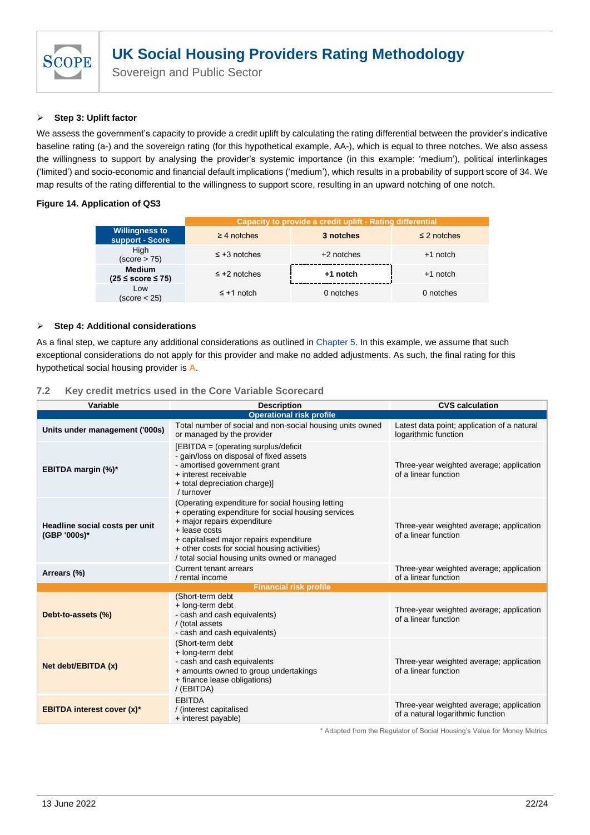

## ➢ **Step 3: Uplift factor**

We assess the government's capacity to provide a credit uplift by calculating the rating differential between the provider's indicative baseline rating (a-) and the sovereign rating (for this hypothetical example, AA-), which is equal to three notches. We also assess the willingness to support by analysing the provider's systemic importance (in this example: 'medium'), political interlinkages ('limited') and socio-economic and financial default implications ('medium'), which results in a probability of support score of 34. We map results of the rating differential to the willingness to support score, resulting in an upward notching of one notch.

# **Figure 14. Application of QS3**

|  |                                              | Capacity to provide a credit uplift - Rating differential |              |                  |  |  |
|--|----------------------------------------------|-----------------------------------------------------------|--------------|------------------|--|--|
|  | <b>Willingness to</b><br>support - Score     | $\geq$ 4 notches                                          | 3 notches    | $\leq$ 2 notches |  |  |
|  | High<br>(score > 75)                         | $\leq$ +3 notches                                         | $+2$ notches | $+1$ notch       |  |  |
|  | <b>Medium</b><br>$(25 \leq$ score $\leq$ 75) | $\leq$ +2 notches                                         | +1 notch     | $+1$ notch       |  |  |
|  | Low<br>(score < 25)                          | $\leq$ +1 notch                                           | 0 notches    | 0 notches        |  |  |

# ➢ **Step 4: Additional considerations**

As a final step, we capture any additional considerations as outlined in [Chapter 5.](#page-18-0) In this example, we assume that such exceptional considerations do not apply for this provider and make no added adjustments. As such, the final rating for this hypothetical social housing provider is **A**.

## <span id="page-21-0"></span>**7.2 Key credit metrics used in the Core Variable Scorecard**

| Variable                                       | <b>Description</b>                                                                                                                                                                                                                                                                                                                                                         | <b>CVS calculation</b>                                                        |  |  |  |  |  |
|------------------------------------------------|----------------------------------------------------------------------------------------------------------------------------------------------------------------------------------------------------------------------------------------------------------------------------------------------------------------------------------------------------------------------------|-------------------------------------------------------------------------------|--|--|--|--|--|
| <b>Operational risk profile</b>                |                                                                                                                                                                                                                                                                                                                                                                            |                                                                               |  |  |  |  |  |
| Units under management ('000s)                 | Total number of social and non-social housing units owned<br>or managed by the provider                                                                                                                                                                                                                                                                                    | Latest data point; application of a natural<br>logarithmic function           |  |  |  |  |  |
| EBITDA margin (%)*                             | [EBITDA = (operating surplus/deficit<br>- gain/loss on disposal of fixed assets<br>- amortised government grant<br>+ interest receivable<br>+ total depreciation charge)]<br>/ turnover                                                                                                                                                                                    | Three-year weighted average; application<br>of a linear function              |  |  |  |  |  |
| Headline social costs per unit<br>(GBP '000s)* | (Operating expenditure for social housing letting<br>+ operating expenditure for social housing services<br>+ major repairs expenditure<br>Three-year weighted average; application<br>$+$ lease costs<br>of a linear function<br>+ capitalised major repairs expenditure<br>+ other costs for social housing activities)<br>/ total social housing units owned or managed |                                                                               |  |  |  |  |  |
| Arrears (%)                                    | Current tenant arrears<br>/ rental income                                                                                                                                                                                                                                                                                                                                  | Three-year weighted average; application<br>of a linear function              |  |  |  |  |  |
|                                                | <b>Financial risk profile</b>                                                                                                                                                                                                                                                                                                                                              |                                                                               |  |  |  |  |  |
| Debt-to-assets (%)                             | (Short-term debt<br>+ long-term debt<br>- cash and cash equivalents)<br>/ (total assets<br>- cash and cash equivalents)                                                                                                                                                                                                                                                    | Three-year weighted average; application<br>of a linear function              |  |  |  |  |  |
| Net debt/EBITDA (x)                            | (Short-term debt<br>+ long-term debt<br>- cash and cash equivalents<br>+ amounts owned to group undertakings<br>+ finance lease obligations)<br>/ (EBITDA)                                                                                                                                                                                                                 | Three-year weighted average; application<br>of a linear function              |  |  |  |  |  |
| <b>EBITDA interest cover (x)*</b>              | <b>FBITDA</b><br>/ (interest capitalised<br>+ interest payable)                                                                                                                                                                                                                                                                                                            | Three-year weighted average; application<br>of a natural logarithmic function |  |  |  |  |  |

\* Adapted from the Regulator of Social Housing's Value for Money Metrics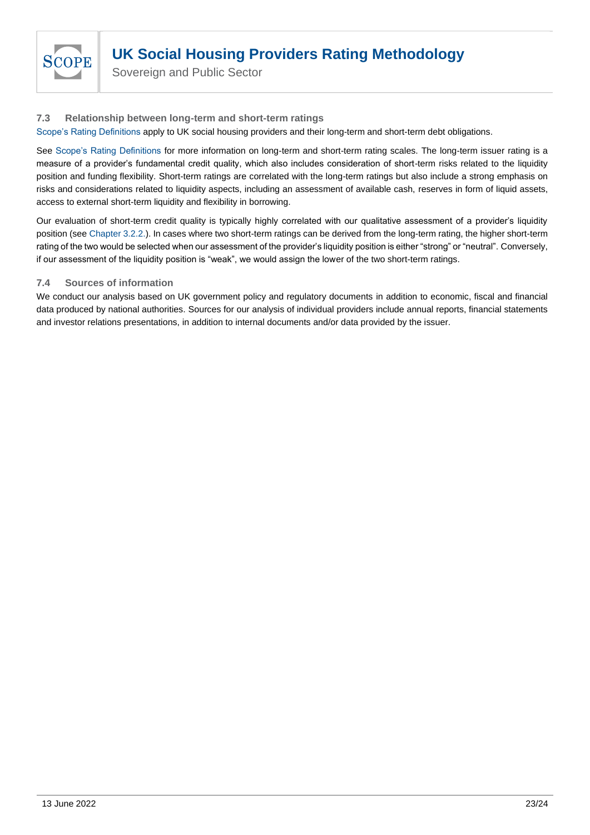

Sovereign and Public Sector

# <span id="page-22-0"></span>**7.3 Relationship between long-term and short-term ratings**

[Scope's Rating Definitions](https://www.scoperatings.com/classic/resources/download/Scope_Ratings_Rating_Definitions_2020.pdf) apply to UK social housing providers and their long-term and short-term debt obligations.

See [Scope's Rating Definitions](https://www.scoperatings.com/classic/resources/download/Scope_Ratings_Rating_Definitions_2020.pdf) for more information on long-term and short-term rating scales. The long-term issuer rating is a measure of a provider's fundamental credit quality, which also includes consideration of short-term risks related to the liquidity position and funding flexibility. Short-term ratings are correlated with the long-term ratings but also include a strong emphasis on risks and considerations related to liquidity aspects, including an assessment of available cash, reserves in form of liquid assets, access to external short-term liquidity and flexibility in borrowing.

Our evaluation of short-term credit quality is typically highly correlated with our qualitative assessment of a provider's liquidity position (see [Chapter 3.2.2.\)](#page-10-0). In cases where two short-term ratings can be derived from the long-term rating, the higher short-term rating of the two would be selected when our assessment of the provider's liquidity position is either "strong" or "neutral". Conversely, if our assessment of the liquidity position is "weak", we would assign the lower of the two short-term ratings.

# <span id="page-22-1"></span>**7.4 Sources of information**

We conduct our analysis based on UK government policy and regulatory documents in addition to economic, fiscal and financial data produced by national authorities. Sources for our analysis of individual providers include annual reports, financial statements and investor relations presentations, in addition to internal documents and/or data provided by the issuer.